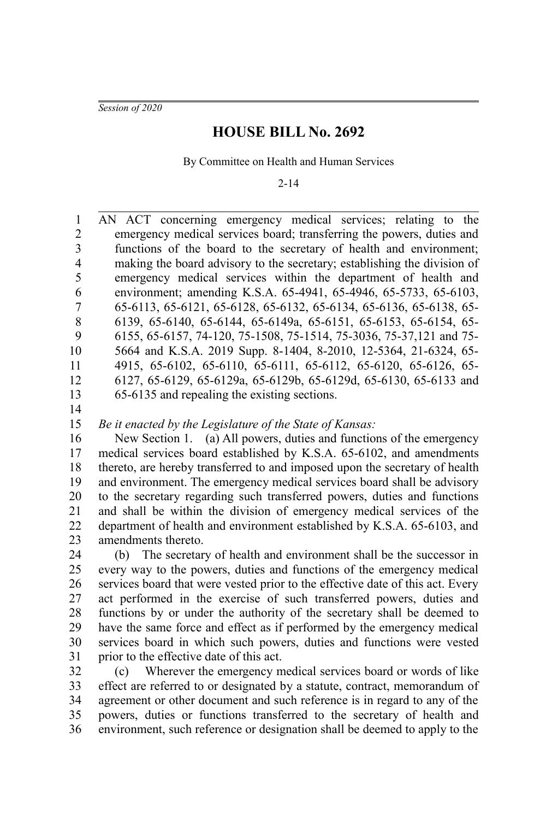*Session of 2020*

## **HOUSE BILL No. 2692**

By Committee on Health and Human Services

2-14

AN ACT concerning emergency medical services; relating to the emergency medical services board; transferring the powers, duties and functions of the board to the secretary of health and environment; making the board advisory to the secretary; establishing the division of emergency medical services within the department of health and environment; amending K.S.A. 65-4941, 65-4946, 65-5733, 65-6103, 65-6113, 65-6121, 65-6128, 65-6132, 65-6134, 65-6136, 65-6138, 65- 6139, 65-6140, 65-6144, 65-6149a, 65-6151, 65-6153, 65-6154, 65- 6155, 65-6157, 74-120, 75-1508, 75-1514, 75-3036, 75-37,121 and 75- 5664 and K.S.A. 2019 Supp. 8-1404, 8-2010, 12-5364, 21-6324, 65- 4915, 65-6102, 65-6110, 65-6111, 65-6112, 65-6120, 65-6126, 65- 6127, 65-6129, 65-6129a, 65-6129b, 65-6129d, 65-6130, 65-6133 and 65-6135 and repealing the existing sections. *Be it enacted by the Legislature of the State of Kansas:* New Section 1. (a) All powers, duties and functions of the emergency medical services board established by K.S.A. 65-6102, and amendments thereto, are hereby transferred to and imposed upon the secretary of health and environment. The emergency medical services board shall be advisory to the secretary regarding such transferred powers, duties and functions and shall be within the division of emergency medical services of the department of health and environment established by K.S.A. 65-6103, and amendments thereto. (b) The secretary of health and environment shall be the successor in 1 2 3 4 5 6 7 8 9 10 11 12 13 14 15 16 17 18 19 20 21 22 23 24

every way to the powers, duties and functions of the emergency medical services board that were vested prior to the effective date of this act. Every act performed in the exercise of such transferred powers, duties and functions by or under the authority of the secretary shall be deemed to have the same force and effect as if performed by the emergency medical services board in which such powers, duties and functions were vested prior to the effective date of this act. 25 26 27 28 29 30 31

(c) Wherever the emergency medical services board or words of like effect are referred to or designated by a statute, contract, memorandum of agreement or other document and such reference is in regard to any of the powers, duties or functions transferred to the secretary of health and environment, such reference or designation shall be deemed to apply to the 32 33 34 35 36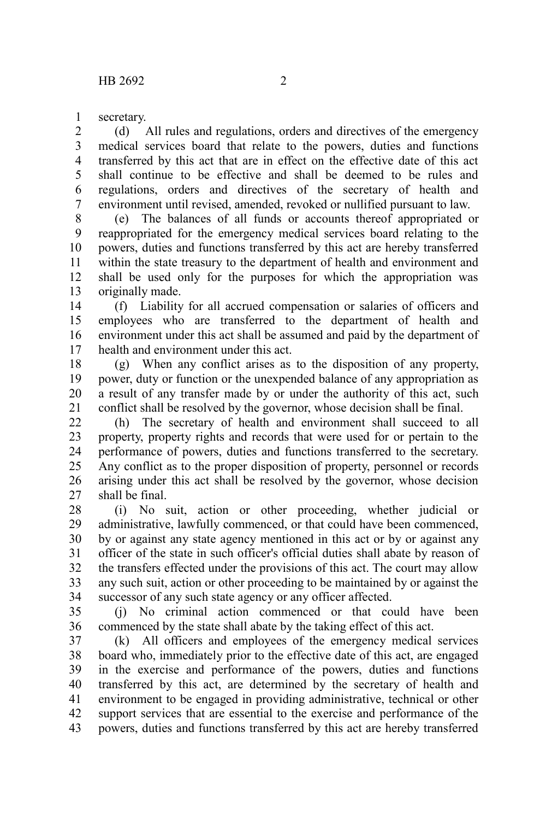secretary. 1

(d) All rules and regulations, orders and directives of the emergency medical services board that relate to the powers, duties and functions transferred by this act that are in effect on the effective date of this act shall continue to be effective and shall be deemed to be rules and regulations, orders and directives of the secretary of health and environment until revised, amended, revoked or nullified pursuant to law. 2 3 4 5 6 7

(e) The balances of all funds or accounts thereof appropriated or reappropriated for the emergency medical services board relating to the powers, duties and functions transferred by this act are hereby transferred within the state treasury to the department of health and environment and shall be used only for the purposes for which the appropriation was originally made. 8 9 10 11 12 13

(f) Liability for all accrued compensation or salaries of officers and employees who are transferred to the department of health and environment under this act shall be assumed and paid by the department of health and environment under this act. 14 15 16 17

(g) When any conflict arises as to the disposition of any property, power, duty or function or the unexpended balance of any appropriation as a result of any transfer made by or under the authority of this act, such conflict shall be resolved by the governor, whose decision shall be final. 18 19 20 21

(h) The secretary of health and environment shall succeed to all property, property rights and records that were used for or pertain to the performance of powers, duties and functions transferred to the secretary. Any conflict as to the proper disposition of property, personnel or records arising under this act shall be resolved by the governor, whose decision shall be final.  $22$ 23 24 25 26 27

(i) No suit, action or other proceeding, whether judicial or administrative, lawfully commenced, or that could have been commenced, by or against any state agency mentioned in this act or by or against any officer of the state in such officer's official duties shall abate by reason of the transfers effected under the provisions of this act. The court may allow any such suit, action or other proceeding to be maintained by or against the successor of any such state agency or any officer affected. 28 29 30 31 32 33 34

(j) No criminal action commenced or that could have been commenced by the state shall abate by the taking effect of this act. 35 36

(k) All officers and employees of the emergency medical services board who, immediately prior to the effective date of this act, are engaged in the exercise and performance of the powers, duties and functions transferred by this act, are determined by the secretary of health and environment to be engaged in providing administrative, technical or other support services that are essential to the exercise and performance of the powers, duties and functions transferred by this act are hereby transferred 37 38 39 40 41 42 43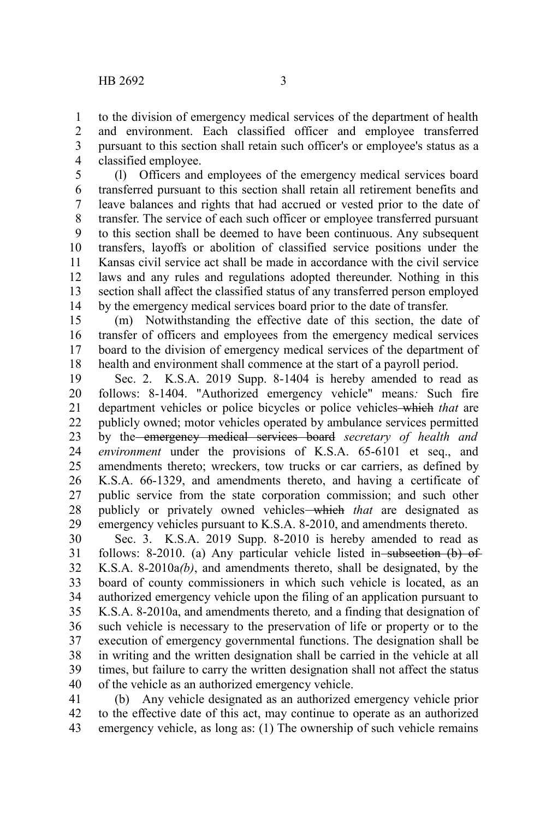to the division of emergency medical services of the department of health and environment. Each classified officer and employee transferred pursuant to this section shall retain such officer's or employee's status as a classified employee. 1 2 3 4

(l) Officers and employees of the emergency medical services board transferred pursuant to this section shall retain all retirement benefits and leave balances and rights that had accrued or vested prior to the date of transfer. The service of each such officer or employee transferred pursuant to this section shall be deemed to have been continuous. Any subsequent transfers, layoffs or abolition of classified service positions under the Kansas civil service act shall be made in accordance with the civil service laws and any rules and regulations adopted thereunder. Nothing in this section shall affect the classified status of any transferred person employed by the emergency medical services board prior to the date of transfer. 5 6 7 8 9 10 11 12 13 14

(m) Notwithstanding the effective date of this section, the date of transfer of officers and employees from the emergency medical services board to the division of emergency medical services of the department of health and environment shall commence at the start of a payroll period. 15 16 17 18

Sec. 2. K.S.A. 2019 Supp. 8-1404 is hereby amended to read as follows: 8-1404. "Authorized emergency vehicle" means*:* Such fire department vehicles or police bicycles or police vehicles which *that* are publicly owned; motor vehicles operated by ambulance services permitted by the emergency medical services board *secretary of health and environment* under the provisions of K.S.A. 65-6101 et seq., and amendments thereto; wreckers, tow trucks or car carriers, as defined by K.S.A. 66-1329, and amendments thereto, and having a certificate of public service from the state corporation commission; and such other publicly or privately owned vehicles which *that* are designated as emergency vehicles pursuant to K.S.A. 8-2010, and amendments thereto. 19 20 21 22 23 24 25 26 27 28 29

Sec. 3. K.S.A. 2019 Supp. 8-2010 is hereby amended to read as follows: 8-2010. (a) Any particular vehicle listed in subsection  $(b)$  of K.S.A. 8-2010a*(b)*, and amendments thereto, shall be designated, by the board of county commissioners in which such vehicle is located, as an authorized emergency vehicle upon the filing of an application pursuant to K.S.A. 8-2010a, and amendments thereto*,* and a finding that designation of such vehicle is necessary to the preservation of life or property or to the execution of emergency governmental functions. The designation shall be in writing and the written designation shall be carried in the vehicle at all times, but failure to carry the written designation shall not affect the status of the vehicle as an authorized emergency vehicle. 30 31 32 33 34 35 36 37 38 39 40

(b) Any vehicle designated as an authorized emergency vehicle prior to the effective date of this act, may continue to operate as an authorized emergency vehicle, as long as: (1) The ownership of such vehicle remains 41 42 43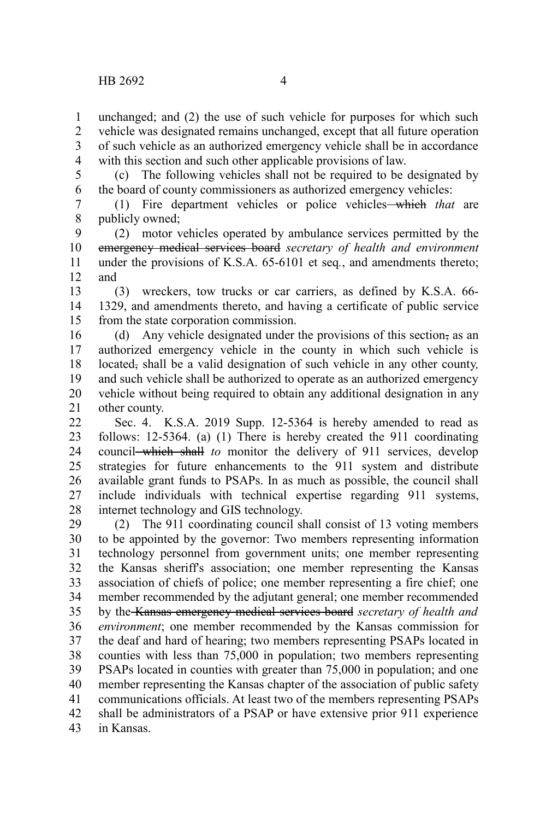unchanged; and (2) the use of such vehicle for purposes for which such vehicle was designated remains unchanged, except that all future operation of such vehicle as an authorized emergency vehicle shall be in accordance with this section and such other applicable provisions of law. 1 2 3 4

(c) The following vehicles shall not be required to be designated by the board of county commissioners as authorized emergency vehicles: 5 6

(1) Fire department vehicles or police vehicles which *that* are publicly owned; 7 8

(2) motor vehicles operated by ambulance services permitted by the emergency medical services board *secretary of health and environment* under the provisions of K.S.A. 65-6101 et seq*.*, and amendments thereto; and 9 10 11 12

(3) wreckers, tow trucks or car carriers, as defined by K.S.A. 66- 1329, and amendments thereto, and having a certificate of public service from the state corporation commission. 13 14 15

(d) Any vehicle designated under the provisions of this section, as an authorized emergency vehicle in the county in which such vehicle is located, shall be a valid designation of such vehicle in any other county*,* and such vehicle shall be authorized to operate as an authorized emergency vehicle without being required to obtain any additional designation in any other county. 16 17 18 19 20 21

Sec. 4. K.S.A. 2019 Supp. 12-5364 is hereby amended to read as follows: 12-5364. (a) (1) There is hereby created the 911 coordinating council which shall *to* monitor the delivery of 911 services, develop strategies for future enhancements to the 911 system and distribute available grant funds to PSAPs. In as much as possible, the council shall include individuals with technical expertise regarding 911 systems, internet technology and GIS technology. 22 23 24 25 26 27 28

(2) The 911 coordinating council shall consist of 13 voting members to be appointed by the governor: Two members representing information technology personnel from government units; one member representing the Kansas sheriff's association; one member representing the Kansas association of chiefs of police; one member representing a fire chief; one member recommended by the adjutant general; one member recommended by the Kansas emergency medical services board *secretary of health and environment*; one member recommended by the Kansas commission for the deaf and hard of hearing; two members representing PSAPs located in counties with less than 75,000 in population; two members representing PSAPs located in counties with greater than 75,000 in population; and one member representing the Kansas chapter of the association of public safety communications officials. At least two of the members representing PSAPs shall be administrators of a PSAP or have extensive prior 911 experience in Kansas. 29 30 31 32 33 34 35 36 37 38 39 40 41 42 43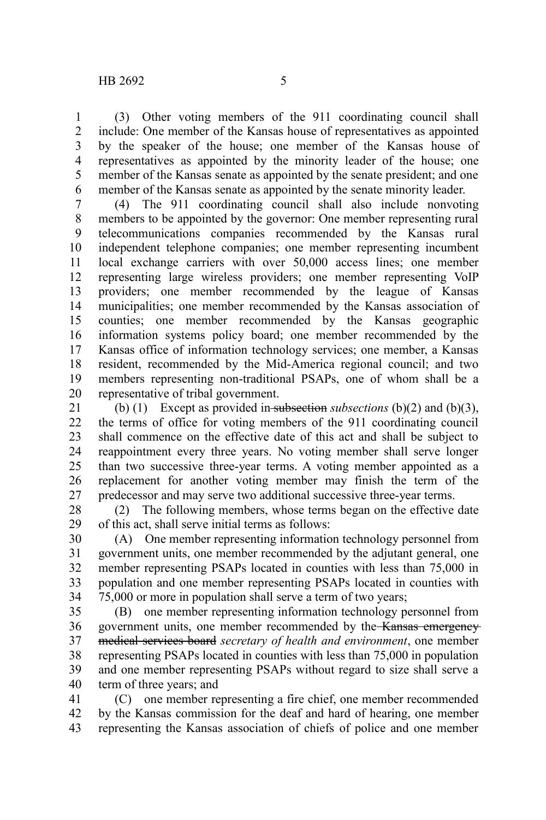(3) Other voting members of the 911 coordinating council shall include: One member of the Kansas house of representatives as appointed by the speaker of the house; one member of the Kansas house of representatives as appointed by the minority leader of the house; one member of the Kansas senate as appointed by the senate president; and one member of the Kansas senate as appointed by the senate minority leader. 1 2 3 4 5 6

(4) The 911 coordinating council shall also include nonvoting members to be appointed by the governor: One member representing rural telecommunications companies recommended by the Kansas rural independent telephone companies; one member representing incumbent local exchange carriers with over 50,000 access lines; one member representing large wireless providers; one member representing VoIP providers; one member recommended by the league of Kansas municipalities; one member recommended by the Kansas association of counties; one member recommended by the Kansas geographic information systems policy board; one member recommended by the Kansas office of information technology services; one member, a Kansas resident, recommended by the Mid-America regional council; and two members representing non-traditional PSAPs, one of whom shall be a representative of tribal government. 7 8 9 10 11 12 13 14 15 16 17 18 19 20

(b) (1) Except as provided in subsection *subsections* (b)(2) and (b)(3), the terms of office for voting members of the 911 coordinating council shall commence on the effective date of this act and shall be subject to reappointment every three years. No voting member shall serve longer than two successive three-year terms. A voting member appointed as a replacement for another voting member may finish the term of the predecessor and may serve two additional successive three-year terms. 21 22 23 24 25 26 27

(2) The following members, whose terms began on the effective date of this act, shall serve initial terms as follows: 28 29

(A) One member representing information technology personnel from government units, one member recommended by the adjutant general, one member representing PSAPs located in counties with less than 75,000 in population and one member representing PSAPs located in counties with 75,000 or more in population shall serve a term of two years; 30 31 32 33 34

(B) one member representing information technology personnel from government units, one member recommended by the Kansas emergency medical services board *secretary of health and environment*, one member representing PSAPs located in counties with less than 75,000 in population and one member representing PSAPs without regard to size shall serve a term of three years; and 35 36 37 38 39 40

(C) one member representing a fire chief, one member recommended by the Kansas commission for the deaf and hard of hearing, one member representing the Kansas association of chiefs of police and one member 41 42 43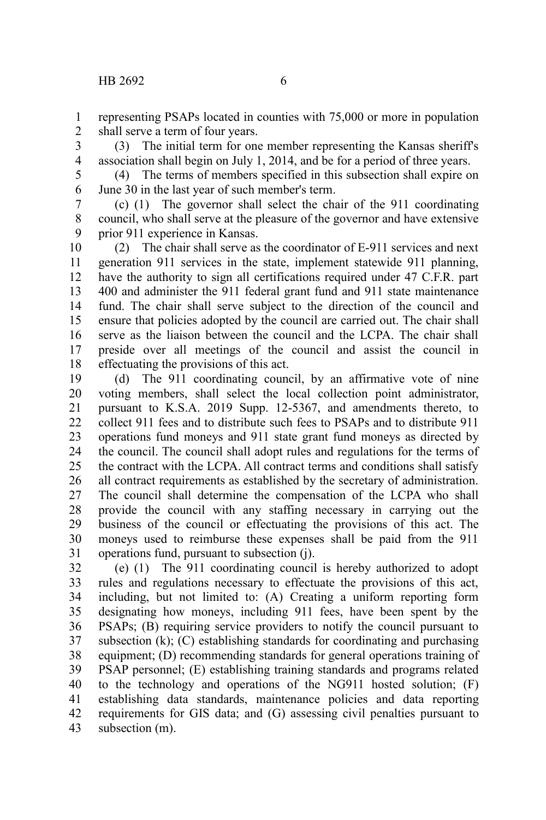representing PSAPs located in counties with 75,000 or more in population shall serve a term of four years. 1 2

(3) The initial term for one member representing the Kansas sheriff's association shall begin on July 1, 2014, and be for a period of three years. 3 4

(4) The terms of members specified in this subsection shall expire on June 30 in the last year of such member's term. 5 6

(c) (1) The governor shall select the chair of the 911 coordinating council, who shall serve at the pleasure of the governor and have extensive prior 911 experience in Kansas. 7 8 9

(2) The chair shall serve as the coordinator of E-911 services and next generation 911 services in the state, implement statewide 911 planning, have the authority to sign all certifications required under 47 C.F.R. part 400 and administer the 911 federal grant fund and 911 state maintenance fund. The chair shall serve subject to the direction of the council and ensure that policies adopted by the council are carried out. The chair shall serve as the liaison between the council and the LCPA. The chair shall preside over all meetings of the council and assist the council in effectuating the provisions of this act. 10 11 12 13 14 15 16 17 18

(d) The 911 coordinating council, by an affirmative vote of nine voting members, shall select the local collection point administrator, pursuant to K.S.A. 2019 Supp. 12-5367, and amendments thereto, to collect 911 fees and to distribute such fees to PSAPs and to distribute 911 operations fund moneys and 911 state grant fund moneys as directed by the council. The council shall adopt rules and regulations for the terms of the contract with the LCPA. All contract terms and conditions shall satisfy all contract requirements as established by the secretary of administration. The council shall determine the compensation of the LCPA who shall provide the council with any staffing necessary in carrying out the business of the council or effectuating the provisions of this act. The moneys used to reimburse these expenses shall be paid from the 911 operations fund, pursuant to subsection (j). 19 20 21 22 23 24 25 26 27 28 29 30 31

(e) (1) The 911 coordinating council is hereby authorized to adopt rules and regulations necessary to effectuate the provisions of this act, including, but not limited to: (A) Creating a uniform reporting form designating how moneys, including 911 fees, have been spent by the PSAPs; (B) requiring service providers to notify the council pursuant to subsection (k); (C) establishing standards for coordinating and purchasing equipment; (D) recommending standards for general operations training of PSAP personnel; (E) establishing training standards and programs related to the technology and operations of the NG911 hosted solution; (F) establishing data standards, maintenance policies and data reporting requirements for GIS data; and (G) assessing civil penalties pursuant to subsection (m). 32 33 34 35 36 37 38 39 40 41 42 43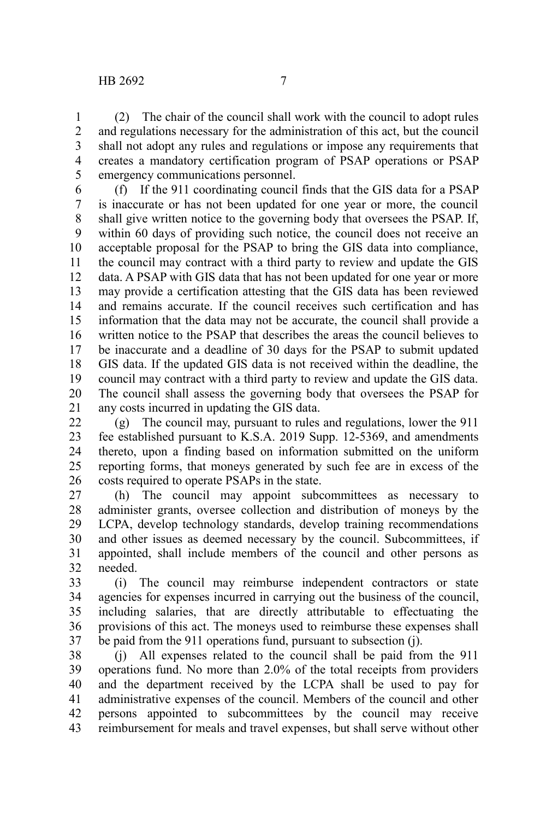(2) The chair of the council shall work with the council to adopt rules and regulations necessary for the administration of this act, but the council shall not adopt any rules and regulations or impose any requirements that creates a mandatory certification program of PSAP operations or PSAP emergency communications personnel. 1 2 3 4 5

(f) If the 911 coordinating council finds that the GIS data for a PSAP is inaccurate or has not been updated for one year or more, the council shall give written notice to the governing body that oversees the PSAP. If, within 60 days of providing such notice, the council does not receive an acceptable proposal for the PSAP to bring the GIS data into compliance, the council may contract with a third party to review and update the GIS data. A PSAP with GIS data that has not been updated for one year or more may provide a certification attesting that the GIS data has been reviewed and remains accurate. If the council receives such certification and has information that the data may not be accurate, the council shall provide a written notice to the PSAP that describes the areas the council believes to be inaccurate and a deadline of 30 days for the PSAP to submit updated GIS data. If the updated GIS data is not received within the deadline, the council may contract with a third party to review and update the GIS data. The council shall assess the governing body that oversees the PSAP for any costs incurred in updating the GIS data. 6 7 8 9 10 11 12 13 14 15 16 17 18 19 20 21

(g) The council may, pursuant to rules and regulations, lower the 911 fee established pursuant to K.S.A. 2019 Supp. 12-5369, and amendments thereto, upon a finding based on information submitted on the uniform reporting forms, that moneys generated by such fee are in excess of the costs required to operate PSAPs in the state. 22 23 24 25 26

(h) The council may appoint subcommittees as necessary to administer grants, oversee collection and distribution of moneys by the LCPA, develop technology standards, develop training recommendations and other issues as deemed necessary by the council. Subcommittees, if appointed, shall include members of the council and other persons as needed. 27 28 29 30 31 32

(i) The council may reimburse independent contractors or state agencies for expenses incurred in carrying out the business of the council, including salaries, that are directly attributable to effectuating the provisions of this act. The moneys used to reimburse these expenses shall be paid from the 911 operations fund, pursuant to subsection (j). 33 34 35 36 37

(j) All expenses related to the council shall be paid from the 911 operations fund. No more than 2.0% of the total receipts from providers and the department received by the LCPA shall be used to pay for administrative expenses of the council. Members of the council and other persons appointed to subcommittees by the council may receive reimbursement for meals and travel expenses, but shall serve without other 38 39 40 41 42 43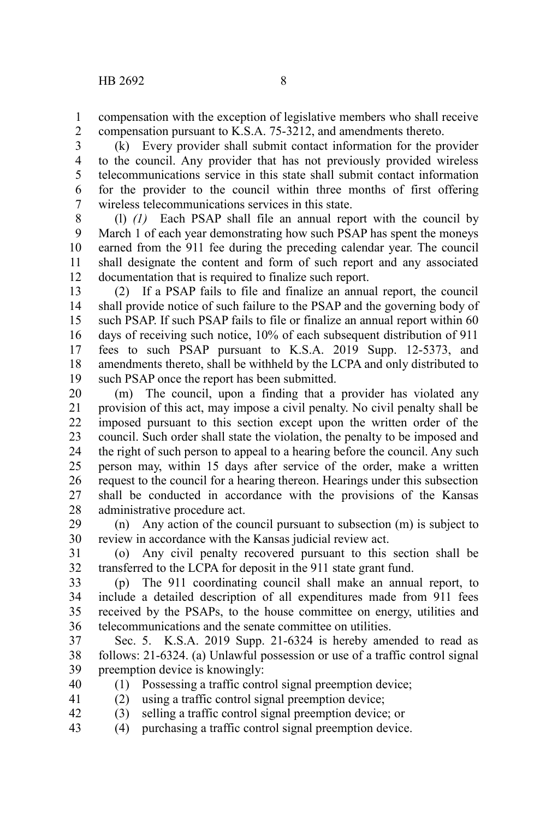compensation with the exception of legislative members who shall receive compensation pursuant to K.S.A. 75-3212, and amendments thereto. 1 2

(k) Every provider shall submit contact information for the provider to the council. Any provider that has not previously provided wireless telecommunications service in this state shall submit contact information for the provider to the council within three months of first offering wireless telecommunications services in this state. 3 4 5 6 7

(l) *(1)* Each PSAP shall file an annual report with the council by March 1 of each year demonstrating how such PSAP has spent the moneys earned from the 911 fee during the preceding calendar year. The council shall designate the content and form of such report and any associated documentation that is required to finalize such report. 8 9 10 11 12

(2) If a PSAP fails to file and finalize an annual report, the council shall provide notice of such failure to the PSAP and the governing body of such PSAP. If such PSAP fails to file or finalize an annual report within 60 days of receiving such notice, 10% of each subsequent distribution of 911 fees to such PSAP pursuant to K.S.A. 2019 Supp. 12-5373, and amendments thereto, shall be withheld by the LCPA and only distributed to such PSAP once the report has been submitted. 13 14 15 16 17 18 19

(m) The council, upon a finding that a provider has violated any provision of this act, may impose a civil penalty. No civil penalty shall be imposed pursuant to this section except upon the written order of the council. Such order shall state the violation, the penalty to be imposed and the right of such person to appeal to a hearing before the council. Any such person may, within 15 days after service of the order, make a written request to the council for a hearing thereon. Hearings under this subsection shall be conducted in accordance with the provisions of the Kansas administrative procedure act. 20 21 22 23 24 25 26 27 28

(n) Any action of the council pursuant to subsection (m) is subject to review in accordance with the Kansas judicial review act. 29 30

(o) Any civil penalty recovered pursuant to this section shall be transferred to the LCPA for deposit in the 911 state grant fund. 31 32

(p) The 911 coordinating council shall make an annual report, to include a detailed description of all expenditures made from 911 fees received by the PSAPs, to the house committee on energy, utilities and telecommunications and the senate committee on utilities. 33 34 35 36

Sec. 5. K.S.A. 2019 Supp. 21-6324 is hereby amended to read as follows: 21-6324. (a) Unlawful possession or use of a traffic control signal preemption device is knowingly: 37 38 39

(1) Possessing a traffic control signal preemption device; 40

(2) using a traffic control signal preemption device; 41

(3) selling a traffic control signal preemption device; or 42

(4) purchasing a traffic control signal preemption device. 43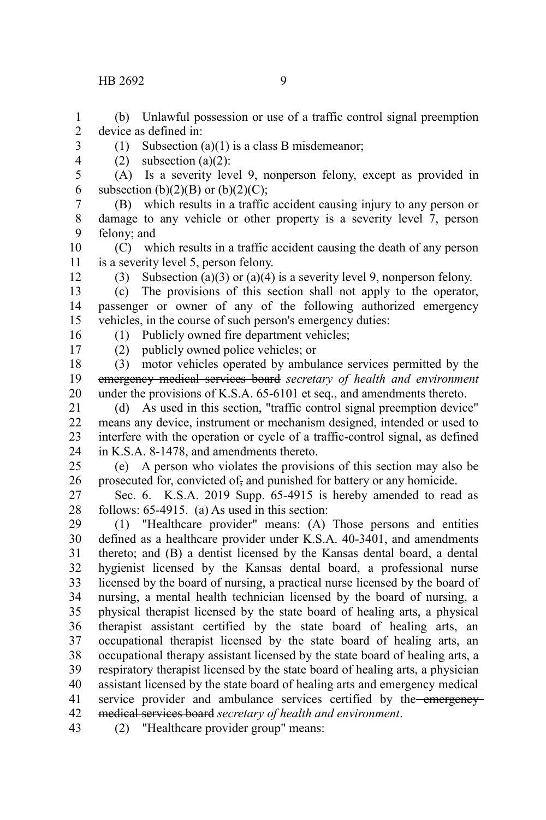(b) Unlawful possession or use of a traffic control signal preemption device as defined in: 1 2

- 3
	- (1) Subsection (a)(1) is a class B misdemeanor; (2) subsection  $(a)(2)$ :
- 4 5

(A) Is a severity level 9, nonperson felony, except as provided in subsection  $(b)(2)(B)$  or  $(b)(2)(C)$ ;

(B) which results in a traffic accident causing injury to any person or damage to any vehicle or other property is a severity level 7, person felony; and 7 8 9

(C) which results in a traffic accident causing the death of any person is a severity level 5, person felony. 10 11

12

6

(3) Subsection (a)(3) or (a)(4) is a severity level 9, nonperson felony.

(c) The provisions of this section shall not apply to the operator, passenger or owner of any of the following authorized emergency vehicles, in the course of such person's emergency duties: 13 14 15 16

(1) Publicly owned fire department vehicles;

17

(2) publicly owned police vehicles; or

(3) motor vehicles operated by ambulance services permitted by the emergency medical services board *secretary of health and environment* under the provisions of K.S.A. 65-6101 et seq., and amendments thereto. 18 19 20

(d) As used in this section, "traffic control signal preemption device" means any device, instrument or mechanism designed, intended or used to interfere with the operation or cycle of a traffic-control signal, as defined in K.S.A. 8-1478, and amendments thereto. 21 22 23 24

(e) A person who violates the provisions of this section may also be prosecuted for, convicted of, and punished for battery or any homicide. 25 26

Sec. 6. K.S.A. 2019 Supp. 65-4915 is hereby amended to read as follows: 65-4915. (a) As used in this section: 27 28

(1) "Healthcare provider" means: (A) Those persons and entities defined as a healthcare provider under K.S.A. 40-3401, and amendments thereto; and (B) a dentist licensed by the Kansas dental board, a dental hygienist licensed by the Kansas dental board, a professional nurse licensed by the board of nursing, a practical nurse licensed by the board of nursing, a mental health technician licensed by the board of nursing, a physical therapist licensed by the state board of healing arts, a physical therapist assistant certified by the state board of healing arts, an occupational therapist licensed by the state board of healing arts, an occupational therapy assistant licensed by the state board of healing arts, a respiratory therapist licensed by the state board of healing arts, a physician assistant licensed by the state board of healing arts and emergency medical service provider and ambulance services certified by the emergencymedical services board *secretary of health and environment*. 29 30 31 32 33 34 35 36 37 38 39 40 41 42

(2) "Healthcare provider group" means: 43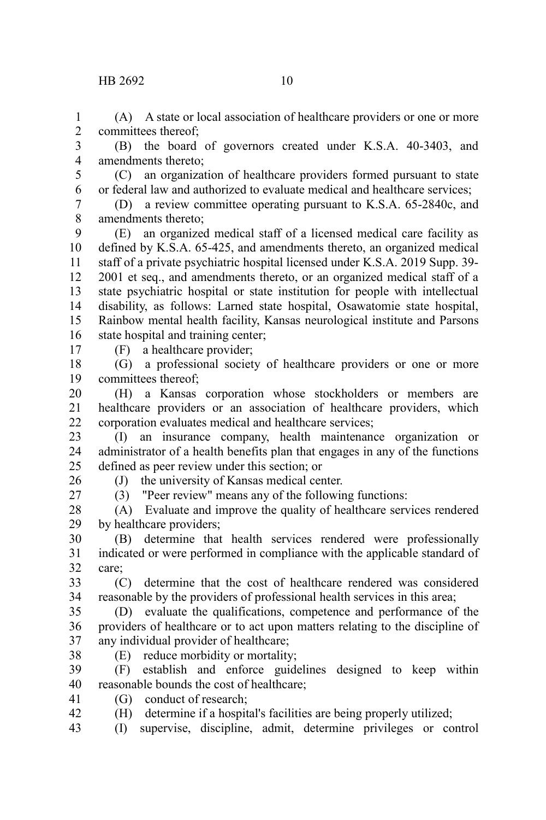(A) A state or local association of healthcare providers or one or more committees thereof; 1  $\mathcal{D}$ 

(B) the board of governors created under K.S.A. 40-3403, and amendments thereto; 3 4

5 6

(C) an organization of healthcare providers formed pursuant to state or federal law and authorized to evaluate medical and healthcare services;

(D) a review committee operating pursuant to K.S.A. 65-2840c, and amendments thereto; 7 8

(E) an organized medical staff of a licensed medical care facility as defined by K.S.A. 65-425, and amendments thereto, an organized medical staff of a private psychiatric hospital licensed under K.S.A. 2019 Supp. 39- 2001 et seq., and amendments thereto, or an organized medical staff of a state psychiatric hospital or state institution for people with intellectual disability, as follows: Larned state hospital, Osawatomie state hospital, Rainbow mental health facility, Kansas neurological institute and Parsons state hospital and training center; 9 10 11 12 13 14 15 16

17

(F) a healthcare provider;

(G) a professional society of healthcare providers or one or more committees thereof; 18 19

(H) a Kansas corporation whose stockholders or members are healthcare providers or an association of healthcare providers, which corporation evaluates medical and healthcare services; 20 21 22

(I) an insurance company, health maintenance organization or administrator of a health benefits plan that engages in any of the functions defined as peer review under this section; or 23 24 25

26

(J) the university of Kansas medical center. (3) "Peer review" means any of the following functions:

27

(A) Evaluate and improve the quality of healthcare services rendered by healthcare providers; 28 29

(B) determine that health services rendered were professionally indicated or were performed in compliance with the applicable standard of care; 30 31 32

(C) determine that the cost of healthcare rendered was considered reasonable by the providers of professional health services in this area; 33 34

(D) evaluate the qualifications, competence and performance of the providers of healthcare or to act upon matters relating to the discipline of any individual provider of healthcare; 35 36 37

38

(E) reduce morbidity or mortality;

(F) establish and enforce guidelines designed to keep within reasonable bounds the cost of healthcare; 39 40

(G) conduct of research; 41

(H) determine if a hospital's facilities are being properly utilized; 42

(I) supervise, discipline, admit, determine privileges or control 43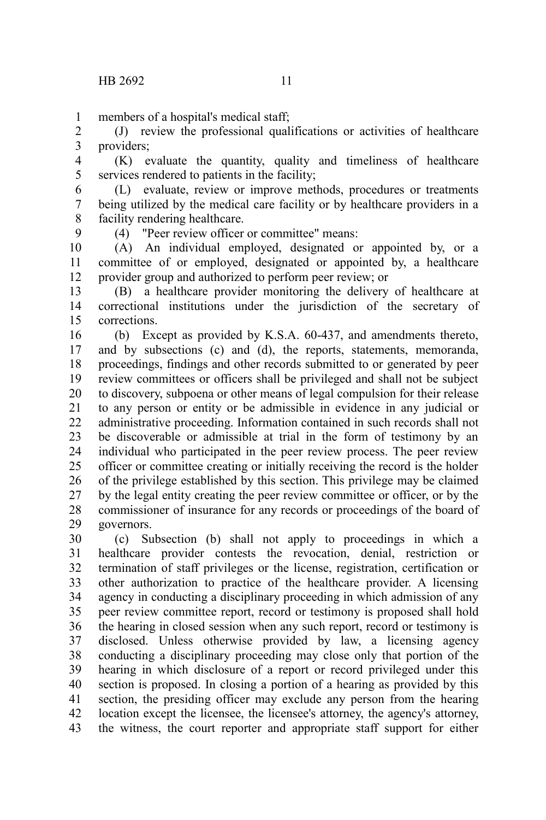members of a hospital's medical staff; 1

(J) review the professional qualifications or activities of healthcare providers; 2 3

(K) evaluate the quantity, quality and timeliness of healthcare services rendered to patients in the facility; 4 5

(L) evaluate, review or improve methods, procedures or treatments being utilized by the medical care facility or by healthcare providers in a facility rendering healthcare. 6 7 8

9

(4) "Peer review officer or committee" means:

(A) An individual employed, designated or appointed by, or a committee of or employed, designated or appointed by, a healthcare provider group and authorized to perform peer review; or 10 11 12

(B) a healthcare provider monitoring the delivery of healthcare at correctional institutions under the jurisdiction of the secretary of corrections. 13 14 15

(b) Except as provided by K.S.A. 60-437, and amendments thereto, and by subsections (c) and (d), the reports, statements, memoranda, proceedings, findings and other records submitted to or generated by peer review committees or officers shall be privileged and shall not be subject to discovery, subpoena or other means of legal compulsion for their release to any person or entity or be admissible in evidence in any judicial or administrative proceeding. Information contained in such records shall not be discoverable or admissible at trial in the form of testimony by an individual who participated in the peer review process. The peer review officer or committee creating or initially receiving the record is the holder of the privilege established by this section. This privilege may be claimed by the legal entity creating the peer review committee or officer, or by the commissioner of insurance for any records or proceedings of the board of governors. 16 17 18 19 20 21 22 23 24 25 26 27 28 29

(c) Subsection (b) shall not apply to proceedings in which a healthcare provider contests the revocation, denial, restriction or termination of staff privileges or the license, registration, certification or other authorization to practice of the healthcare provider. A licensing agency in conducting a disciplinary proceeding in which admission of any peer review committee report, record or testimony is proposed shall hold the hearing in closed session when any such report, record or testimony is disclosed. Unless otherwise provided by law, a licensing agency conducting a disciplinary proceeding may close only that portion of the hearing in which disclosure of a report or record privileged under this section is proposed. In closing a portion of a hearing as provided by this section, the presiding officer may exclude any person from the hearing location except the licensee, the licensee's attorney, the agency's attorney, the witness, the court reporter and appropriate staff support for either 30 31 32 33 34 35 36 37 38 39 40 41 42 43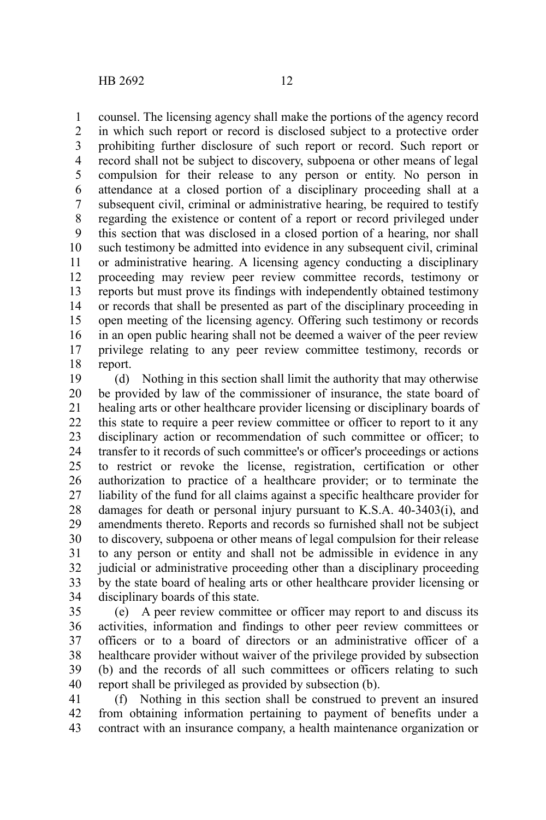counsel. The licensing agency shall make the portions of the agency record in which such report or record is disclosed subject to a protective order prohibiting further disclosure of such report or record. Such report or record shall not be subject to discovery, subpoena or other means of legal compulsion for their release to any person or entity. No person in attendance at a closed portion of a disciplinary proceeding shall at a subsequent civil, criminal or administrative hearing, be required to testify regarding the existence or content of a report or record privileged under this section that was disclosed in a closed portion of a hearing, nor shall such testimony be admitted into evidence in any subsequent civil, criminal or administrative hearing. A licensing agency conducting a disciplinary proceeding may review peer review committee records, testimony or reports but must prove its findings with independently obtained testimony or records that shall be presented as part of the disciplinary proceeding in open meeting of the licensing agency. Offering such testimony or records in an open public hearing shall not be deemed a waiver of the peer review privilege relating to any peer review committee testimony, records or report. 1 2 3 4 5 6 7 8 9 10 11 12 13 14 15 16 17 18

(d) Nothing in this section shall limit the authority that may otherwise be provided by law of the commissioner of insurance, the state board of healing arts or other healthcare provider licensing or disciplinary boards of this state to require a peer review committee or officer to report to it any disciplinary action or recommendation of such committee or officer; to transfer to it records of such committee's or officer's proceedings or actions to restrict or revoke the license, registration, certification or other authorization to practice of a healthcare provider; or to terminate the liability of the fund for all claims against a specific healthcare provider for damages for death or personal injury pursuant to K.S.A. 40-3403(i), and amendments thereto. Reports and records so furnished shall not be subject to discovery, subpoena or other means of legal compulsion for their release to any person or entity and shall not be admissible in evidence in any judicial or administrative proceeding other than a disciplinary proceeding by the state board of healing arts or other healthcare provider licensing or disciplinary boards of this state. 19 20 21 22 23 24 25 26 27 28 29 30 31 32 33 34

(e) A peer review committee or officer may report to and discuss its activities, information and findings to other peer review committees or officers or to a board of directors or an administrative officer of a healthcare provider without waiver of the privilege provided by subsection (b) and the records of all such committees or officers relating to such report shall be privileged as provided by subsection (b). 35 36 37 38 39 40

(f) Nothing in this section shall be construed to prevent an insured from obtaining information pertaining to payment of benefits under a contract with an insurance company, a health maintenance organization or 41 42 43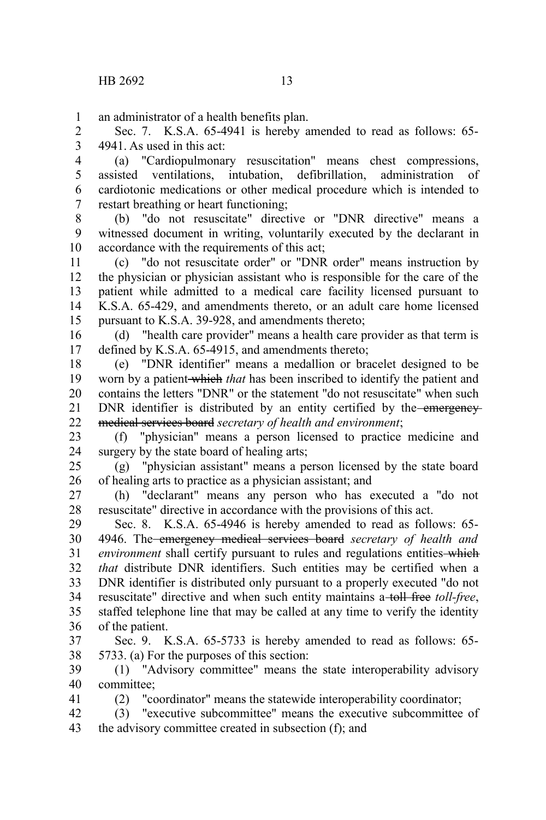41

an administrator of a health benefits plan. 1

Sec. 7. K.S.A. 65-4941 is hereby amended to read as follows: 65- 4941. As used in this act: 2 3

(a) "Cardiopulmonary resuscitation" means chest compressions, assisted ventilations, intubation, defibrillation, administration of cardiotonic medications or other medical procedure which is intended to restart breathing or heart functioning; 4 5 6 7

(b) "do not resuscitate" directive or "DNR directive" means a witnessed document in writing, voluntarily executed by the declarant in accordance with the requirements of this act; 8 9 10

(c) "do not resuscitate order" or "DNR order" means instruction by the physician or physician assistant who is responsible for the care of the patient while admitted to a medical care facility licensed pursuant to K.S.A. 65-429, and amendments thereto, or an adult care home licensed pursuant to K.S.A. 39-928, and amendments thereto; 11 12 13 14 15

(d) "health care provider" means a health care provider as that term is defined by K.S.A. 65-4915, and amendments thereto; 16 17

(e) "DNR identifier" means a medallion or bracelet designed to be worn by a patient which *that* has been inscribed to identify the patient and contains the letters "DNR" or the statement "do not resuscitate" when such DNR identifier is distributed by an entity certified by the emergencymedical services board *secretary of health and environment*; 18 19 20 21 22

(f) "physician" means a person licensed to practice medicine and surgery by the state board of healing arts; 23 24

(g) "physician assistant" means a person licensed by the state board of healing arts to practice as a physician assistant; and 25 26

(h) "declarant" means any person who has executed a "do not resuscitate" directive in accordance with the provisions of this act. 27 28

Sec. 8. K.S.A. 65-4946 is hereby amended to read as follows: 65- 4946. The emergency medical services board *secretary of health and environment* shall certify pursuant to rules and regulations entities-which *that* distribute DNR identifiers. Such entities may be certified when a DNR identifier is distributed only pursuant to a properly executed "do not resuscitate" directive and when such entity maintains a toll free *toll-free*, staffed telephone line that may be called at any time to verify the identity of the patient. 29 30 31 32 33 34 35 36

Sec. 9. K.S.A. 65-5733 is hereby amended to read as follows: 65- 5733. (a) For the purposes of this section: 37 38

(1) "Advisory committee" means the state interoperability advisory committee; 39 40

(2) "coordinator" means the statewide interoperability coordinator;

(3) "executive subcommittee" means the executive subcommittee of the advisory committee created in subsection (f); and 42 43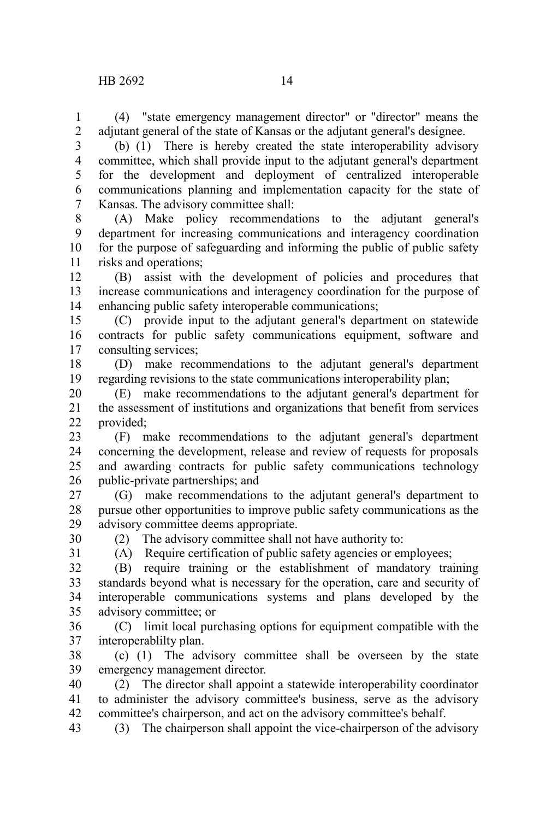(4) "state emergency management director" or "director" means the adjutant general of the state of Kansas or the adjutant general's designee. 1 2

(b) (1) There is hereby created the state interoperability advisory committee, which shall provide input to the adjutant general's department for the development and deployment of centralized interoperable communications planning and implementation capacity for the state of Kansas. The advisory committee shall: 3 4 5 6 7

(A) Make policy recommendations to the adjutant general's department for increasing communications and interagency coordination for the purpose of safeguarding and informing the public of public safety risks and operations; 8 9 10 11

(B) assist with the development of policies and procedures that increase communications and interagency coordination for the purpose of enhancing public safety interoperable communications; 12 13 14

(C) provide input to the adjutant general's department on statewide contracts for public safety communications equipment, software and consulting services; 15 16 17

(D) make recommendations to the adjutant general's department regarding revisions to the state communications interoperability plan; 18 19

(E) make recommendations to the adjutant general's department for the assessment of institutions and organizations that benefit from services provided; 20 21 22

(F) make recommendations to the adjutant general's department concerning the development, release and review of requests for proposals and awarding contracts for public safety communications technology public-private partnerships; and 23 24 25 26

(G) make recommendations to the adjutant general's department to pursue other opportunities to improve public safety communications as the advisory committee deems appropriate. 27 28 29

30 31 (2) The advisory committee shall not have authority to:

(A) Require certification of public safety agencies or employees;

(B) require training or the establishment of mandatory training standards beyond what is necessary for the operation, care and security of interoperable communications systems and plans developed by the advisory committee; or 32 33 34 35

(C) limit local purchasing options for equipment compatible with the interoperablilty plan. 36 37

(c) (1) The advisory committee shall be overseen by the state emergency management director. 38 39

(2) The director shall appoint a statewide interoperability coordinator to administer the advisory committee's business, serve as the advisory committee's chairperson, and act on the advisory committee's behalf. 40 41 42

(3) The chairperson shall appoint the vice-chairperson of the advisory 43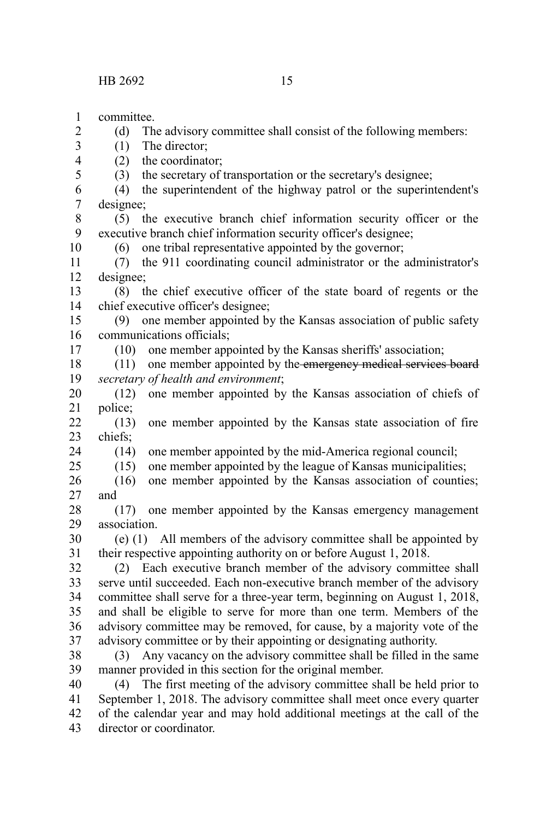committee. (d) The advisory committee shall consist of the following members: (1) The director; (2) the coordinator; (3) the secretary of transportation or the secretary's designee; (4) the superintendent of the highway patrol or the superintendent's designee; (5) the executive branch chief information security officer or the executive branch chief information security officer's designee; (6) one tribal representative appointed by the governor; (7) the 911 coordinating council administrator or the administrator's designee; (8) the chief executive officer of the state board of regents or the chief executive officer's designee; (9) one member appointed by the Kansas association of public safety communications officials; (10) one member appointed by the Kansas sheriffs' association; (11) one member appointed by the emergency medical services board *secretary of health and environment*; (12) one member appointed by the Kansas association of chiefs of police; (13) one member appointed by the Kansas state association of fire chiefs; (14) one member appointed by the mid-America regional council; (15) one member appointed by the league of Kansas municipalities; (16) one member appointed by the Kansas association of counties; and (17) one member appointed by the Kansas emergency management association. (e) (1) All members of the advisory committee shall be appointed by their respective appointing authority on or before August 1, 2018. (2) Each executive branch member of the advisory committee shall serve until succeeded. Each non-executive branch member of the advisory committee shall serve for a three-year term, beginning on August 1, 2018, and shall be eligible to serve for more than one term. Members of the advisory committee may be removed, for cause, by a majority vote of the advisory committee or by their appointing or designating authority. (3) Any vacancy on the advisory committee shall be filled in the same manner provided in this section for the original member. 1 2 3 4 5 6 7 8 9 10 11 12 13 14 15 16 17 18 19 20 21 22 23 24 25 26 27 28 29 30 31 32 33 34 35 36 37 38 39

(4) The first meeting of the advisory committee shall be held prior to September 1, 2018. The advisory committee shall meet once every quarter of the calendar year and may hold additional meetings at the call of the director or coordinator. 40 41 42 43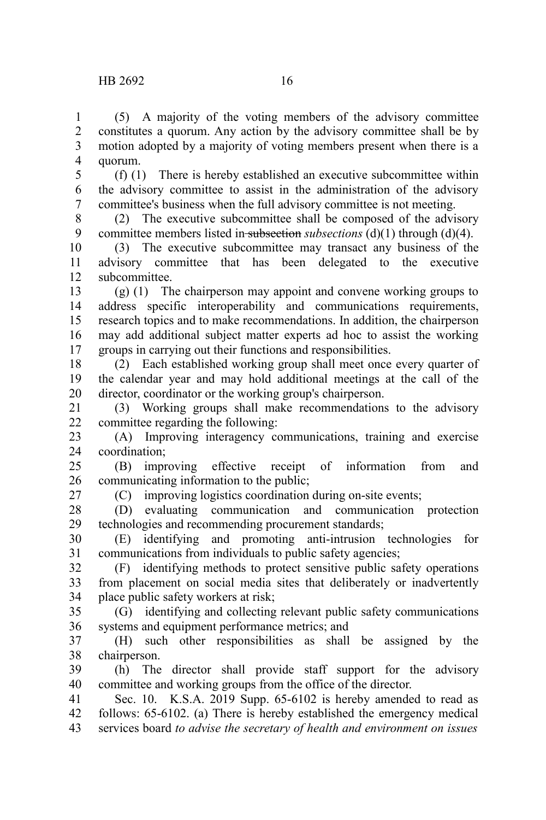(5) A majority of the voting members of the advisory committee constitutes a quorum. Any action by the advisory committee shall be by motion adopted by a majority of voting members present when there is a quorum. 1 2 3 4

(f) (1) There is hereby established an executive subcommittee within the advisory committee to assist in the administration of the advisory committee's business when the full advisory committee is not meeting. 5 6 7

(2) The executive subcommittee shall be composed of the advisory committee members listed in subsection *subsections* (d)(1) through (d)(4). 8 9

(3) The executive subcommittee may transact any business of the advisory committee that has been delegated to the executive subcommittee. 10 11 12

(g) (1) The chairperson may appoint and convene working groups to address specific interoperability and communications requirements, research topics and to make recommendations. In addition, the chairperson may add additional subject matter experts ad hoc to assist the working groups in carrying out their functions and responsibilities. 13 14 15 16 17

(2) Each established working group shall meet once every quarter of the calendar year and may hold additional meetings at the call of the director, coordinator or the working group's chairperson. 18 19 20

(3) Working groups shall make recommendations to the advisory committee regarding the following: 21 22

(A) Improving interagency communications, training and exercise coordination; 23 24

(B) improving effective receipt of information from and communicating information to the public; 25 26

27

(C) improving logistics coordination during on-site events; (D) evaluating communication and communication protection 28

technologies and recommending procurement standards; (E) identifying and promoting anti-intrusion technologies for 29 30

communications from individuals to public safety agencies; 31

(F) identifying methods to protect sensitive public safety operations from placement on social media sites that deliberately or inadvertently place public safety workers at risk; 32 33 34

(G) identifying and collecting relevant public safety communications systems and equipment performance metrics; and 35 36

(H) such other responsibilities as shall be assigned by the chairperson. 37 38

(h) The director shall provide staff support for the advisory committee and working groups from the office of the director. 39 40

Sec. 10. K.S.A. 2019 Supp. 65-6102 is hereby amended to read as follows: 65-6102. (a) There is hereby established the emergency medical services board *to advise the secretary of health and environment on issues* 41 42 43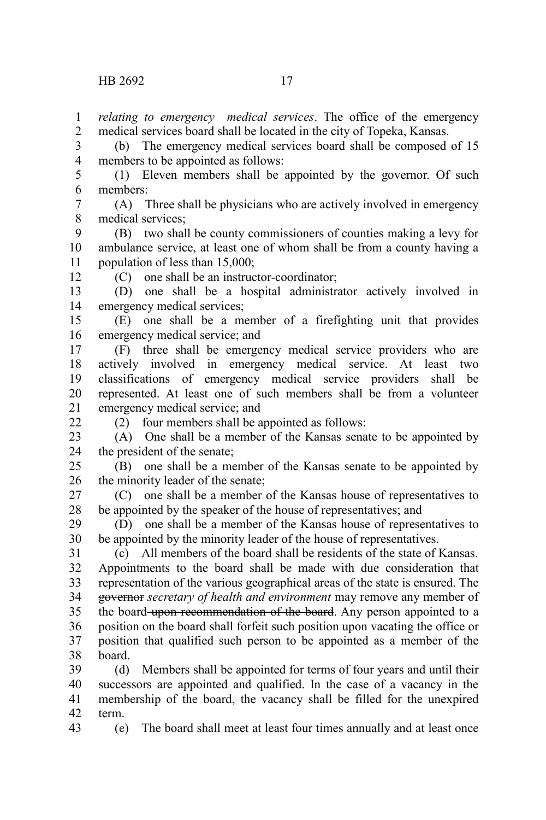*relating to emergency medical services*. The office of the emergency medical services board shall be located in the city of Topeka, Kansas. 1 2

(b) The emergency medical services board shall be composed of 15 members to be appointed as follows: 3 4

(1) Eleven members shall be appointed by the governor. Of such members: 5 6

(A) Three shall be physicians who are actively involved in emergency medical services; 7 8

(B) two shall be county commissioners of counties making a levy for ambulance service, at least one of whom shall be from a county having a population of less than 15,000; 9 10 11

12

(C) one shall be an instructor-coordinator;

(D) one shall be a hospital administrator actively involved in emergency medical services; 13 14

(E) one shall be a member of a firefighting unit that provides emergency medical service; and 15 16

(F) three shall be emergency medical service providers who are actively involved in emergency medical service. At least two classifications of emergency medical service providers shall be represented. At least one of such members shall be from a volunteer emergency medical service; and 17 18 19 20 21

 $22$ 

(2) four members shall be appointed as follows:

(A) One shall be a member of the Kansas senate to be appointed by the president of the senate; 23 24

(B) one shall be a member of the Kansas senate to be appointed by the minority leader of the senate; 25 26

(C) one shall be a member of the Kansas house of representatives to be appointed by the speaker of the house of representatives; and 27 28

(D) one shall be a member of the Kansas house of representatives to be appointed by the minority leader of the house of representatives. 29 30

(c) All members of the board shall be residents of the state of Kansas. Appointments to the board shall be made with due consideration that representation of the various geographical areas of the state is ensured. The governor *secretary of health and environment* may remove any member of the board upon recommendation of the board. Any person appointed to a position on the board shall forfeit such position upon vacating the office or position that qualified such person to be appointed as a member of the board. 31 32 33 34 35 36 37 38

(d) Members shall be appointed for terms of four years and until their successors are appointed and qualified. In the case of a vacancy in the membership of the board, the vacancy shall be filled for the unexpired term. 39 40 41 42

(e) The board shall meet at least four times annually and at least once 43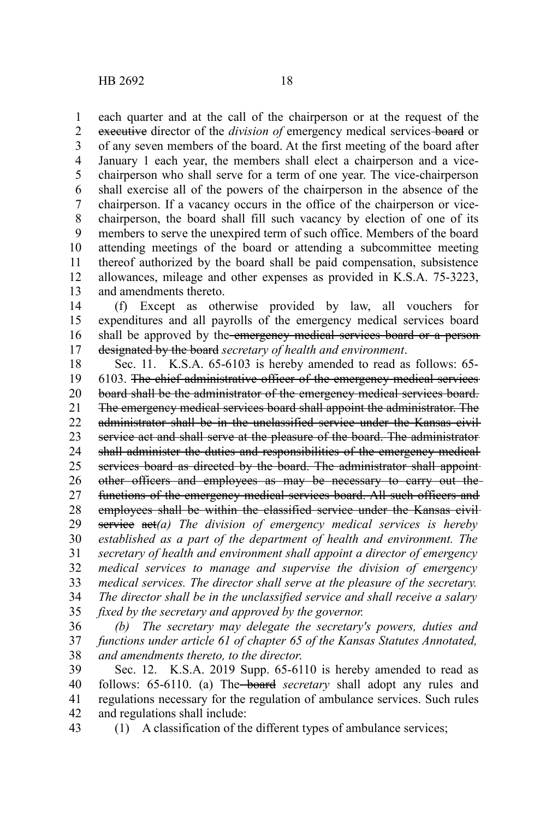each quarter and at the call of the chairperson or at the request of the executive director of the *division of* emergency medical services-board or of any seven members of the board. At the first meeting of the board after January 1 each year, the members shall elect a chairperson and a vicechairperson who shall serve for a term of one year. The vice-chairperson shall exercise all of the powers of the chairperson in the absence of the chairperson. If a vacancy occurs in the office of the chairperson or vicechairperson, the board shall fill such vacancy by election of one of its members to serve the unexpired term of such office. Members of the board attending meetings of the board or attending a subcommittee meeting thereof authorized by the board shall be paid compensation, subsistence allowances, mileage and other expenses as provided in K.S.A. 75-3223, and amendments thereto. 1 2 3 4 5 6 7 8 9 10 11 12 13

(f) Except as otherwise provided by law, all vouchers for expenditures and all payrolls of the emergency medical services board shall be approved by the emergency medical services board or a persondesignated by the board *secretary of health and environment*. 14 15 16 17

Sec. 11. K.S.A. 65-6103 is hereby amended to read as follows: 65- 6103. The chief administrative officer of the emergency medical services board shall be the administrator of the emergency medical services board. The emergency medical services board shall appoint the administrator. The administrator shall be in the unclassified service under the Kansas civil service act and shall serve at the pleasure of the board. The administrator shall administer the duties and responsibilities of the emergency medical services board as directed by the board. The administrator shall appointother officers and employees as may be necessary to carry out the functions of the emergency medical services board. All such officers and employees shall be within the classified service under the Kansas civil service act*(a) The division of emergency medical services is hereby established as a part of the department of health and environment. The secretary of health and environment shall appoint a director of emergency medical services to manage and supervise the division of emergency medical services. The director shall serve at the pleasure of the secretary. The director shall be in the unclassified service and shall receive a salary fixed by the secretary and approved by the governor.* 18 19 20 21 22 23 24 25 26 27 28 29 30 31 32 33 34 35

*(b) The secretary may delegate the secretary's powers, duties and functions under article 61 of chapter 65 of the Kansas Statutes Annotated, and amendments thereto, to the director*. 36 37 38

Sec. 12. K.S.A. 2019 Supp. 65-6110 is hereby amended to read as follows: 65-6110. (a) The board *secretary* shall adopt any rules and regulations necessary for the regulation of ambulance services. Such rules and regulations shall include: 39 40 41 42

(1) A classification of the different types of ambulance services; 43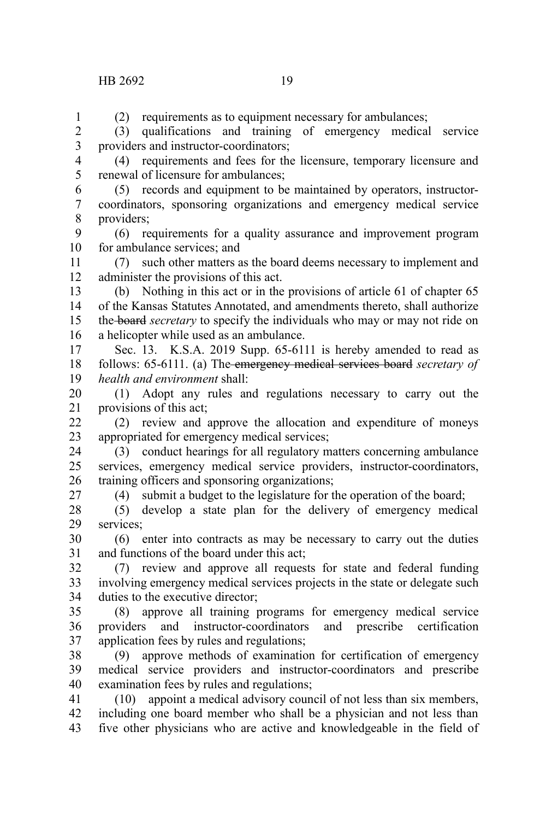## HB 2692 19

(2) requirements as to equipment necessary for ambulances;

(3) qualifications and training of emergency medical service providers and instructor-coordinators; 2 3

(4) requirements and fees for the licensure, temporary licensure and renewal of licensure for ambulances; 4 5

(5) records and equipment to be maintained by operators, instructorcoordinators, sponsoring organizations and emergency medical service providers; 6 7 8

(6) requirements for a quality assurance and improvement program for ambulance services; and 9 10

(7) such other matters as the board deems necessary to implement and administer the provisions of this act. 11 12

(b) Nothing in this act or in the provisions of article 61 of chapter 65 of the Kansas Statutes Annotated, and amendments thereto, shall authorize the board *secretary* to specify the individuals who may or may not ride on a helicopter while used as an ambulance. 13 14 15 16

Sec. 13. K.S.A. 2019 Supp. 65-6111 is hereby amended to read as follows: 65-6111. (a) The emergency medical services board *secretary of health and environment* shall: 17 18 19

(1) Adopt any rules and regulations necessary to carry out the provisions of this act; 20 21

(2) review and approve the allocation and expenditure of moneys appropriated for emergency medical services;  $22$ 23

(3) conduct hearings for all regulatory matters concerning ambulance services, emergency medical service providers, instructor-coordinators, training officers and sponsoring organizations; 24 25 26

(4) submit a budget to the legislature for the operation of the board;

(5) develop a state plan for the delivery of emergency medical services; 28 29

(6) enter into contracts as may be necessary to carry out the duties and functions of the board under this act; 30 31

(7) review and approve all requests for state and federal funding involving emergency medical services projects in the state or delegate such duties to the executive director; 32 33 34

(8) approve all training programs for emergency medical service providers and instructor-coordinators and prescribe certification application fees by rules and regulations; 35 36 37

(9) approve methods of examination for certification of emergency medical service providers and instructor-coordinators and prescribe examination fees by rules and regulations; 38 39 40

(10) appoint a medical advisory council of not less than six members, including one board member who shall be a physician and not less than five other physicians who are active and knowledgeable in the field of 41 42 43

27

1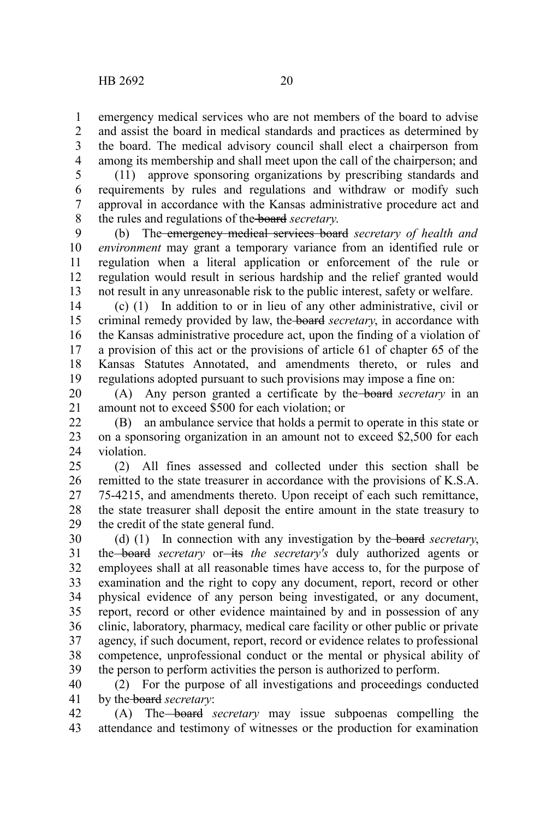emergency medical services who are not members of the board to advise and assist the board in medical standards and practices as determined by the board. The medical advisory council shall elect a chairperson from among its membership and shall meet upon the call of the chairperson; and 1 2 3 4

(11) approve sponsoring organizations by prescribing standards and requirements by rules and regulations and withdraw or modify such approval in accordance with the Kansas administrative procedure act and the rules and regulations of the board *secretary*. 5 6 7 8

(b) The emergency medical services board *secretary of health and environment* may grant a temporary variance from an identified rule or regulation when a literal application or enforcement of the rule or regulation would result in serious hardship and the relief granted would not result in any unreasonable risk to the public interest, safety or welfare. 9 10 11 12 13

(c) (1) In addition to or in lieu of any other administrative, civil or criminal remedy provided by law, the board *secretary*, in accordance with the Kansas administrative procedure act, upon the finding of a violation of a provision of this act or the provisions of article 61 of chapter 65 of the Kansas Statutes Annotated, and amendments thereto, or rules and regulations adopted pursuant to such provisions may impose a fine on: 14 15 16 17 18 19

(A) Any person granted a certificate by the board *secretary* in an amount not to exceed \$500 for each violation; or 20 21

(B) an ambulance service that holds a permit to operate in this state or on a sponsoring organization in an amount not to exceed \$2,500 for each violation. 22 23 24

(2) All fines assessed and collected under this section shall be remitted to the state treasurer in accordance with the provisions of K.S.A. 75-4215, and amendments thereto. Upon receipt of each such remittance, the state treasurer shall deposit the entire amount in the state treasury to the credit of the state general fund. 25 26 27 28 29

(d) (1) In connection with any investigation by the board *secretary*, the board *secretary* or its the *secretary's* duly authorized agents or employees shall at all reasonable times have access to, for the purpose of examination and the right to copy any document, report, record or other physical evidence of any person being investigated, or any document, report, record or other evidence maintained by and in possession of any clinic, laboratory, pharmacy, medical care facility or other public or private agency, if such document, report, record or evidence relates to professional competence, unprofessional conduct or the mental or physical ability of the person to perform activities the person is authorized to perform. 30 31 32 33 34 35 36 37 38 39

(2) For the purpose of all investigations and proceedings conducted by the board *secretary*: 40 41

(A) The board *secretary* may issue subpoenas compelling the attendance and testimony of witnesses or the production for examination 42 43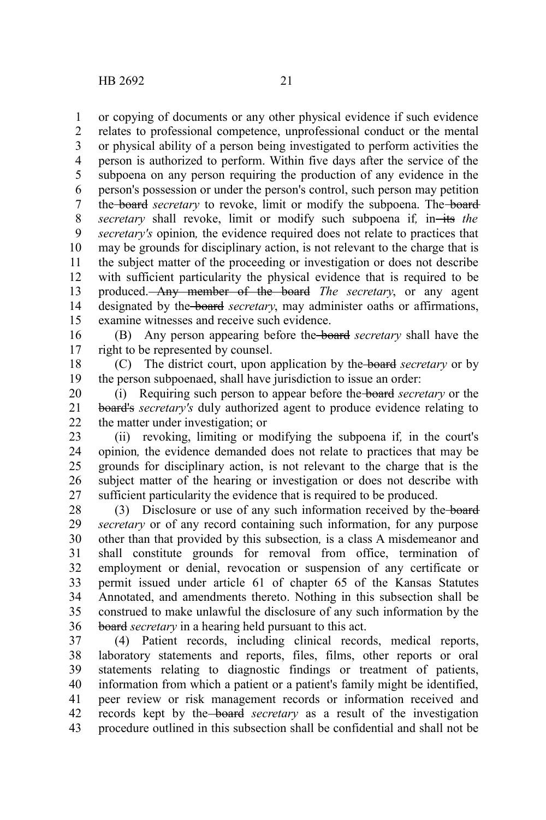or copying of documents or any other physical evidence if such evidence relates to professional competence, unprofessional conduct or the mental or physical ability of a person being investigated to perform activities the person is authorized to perform. Within five days after the service of the subpoena on any person requiring the production of any evidence in the person's possession or under the person's control, such person may petition the **board** secretary to revoke, limit or modify the subpoena. The **board** *secretary* shall revoke, limit or modify such subpoena if, in-its the *secretary's* opinion*,* the evidence required does not relate to practices that may be grounds for disciplinary action, is not relevant to the charge that is the subject matter of the proceeding or investigation or does not describe with sufficient particularity the physical evidence that is required to be produced. Any member of the board *The secretary*, or any agent designated by the board *secretary*, may administer oaths or affirmations, examine witnesses and receive such evidence. 1 2 3 4 5 6 7 8 9 10 11 12 13 14 15

(B) Any person appearing before the board *secretary* shall have the right to be represented by counsel. 16 17

(C) The district court, upon application by the board *secretary* or by the person subpoenaed, shall have jurisdiction to issue an order: 18 19

(i) Requiring such person to appear before the board *secretary* or the board's *secretary's* duly authorized agent to produce evidence relating to the matter under investigation; or 20 21 22

(ii) revoking, limiting or modifying the subpoena if*,* in the court's opinion*,* the evidence demanded does not relate to practices that may be grounds for disciplinary action, is not relevant to the charge that is the subject matter of the hearing or investigation or does not describe with sufficient particularity the evidence that is required to be produced. 23 24 25 26 27

(3) Disclosure or use of any such information received by the board *secretary* or of any record containing such information, for any purpose other than that provided by this subsection*,* is a class A misdemeanor and shall constitute grounds for removal from office, termination of employment or denial, revocation or suspension of any certificate or permit issued under article 61 of chapter 65 of the Kansas Statutes Annotated, and amendments thereto. Nothing in this subsection shall be construed to make unlawful the disclosure of any such information by the board *secretary* in a hearing held pursuant to this act. 28 29 30 31 32 33 34 35 36

(4) Patient records, including clinical records, medical reports, laboratory statements and reports, files, films, other reports or oral statements relating to diagnostic findings or treatment of patients, information from which a patient or a patient's family might be identified, peer review or risk management records or information received and records kept by the board *secretary* as a result of the investigation procedure outlined in this subsection shall be confidential and shall not be 37 38 39 40 41 42 43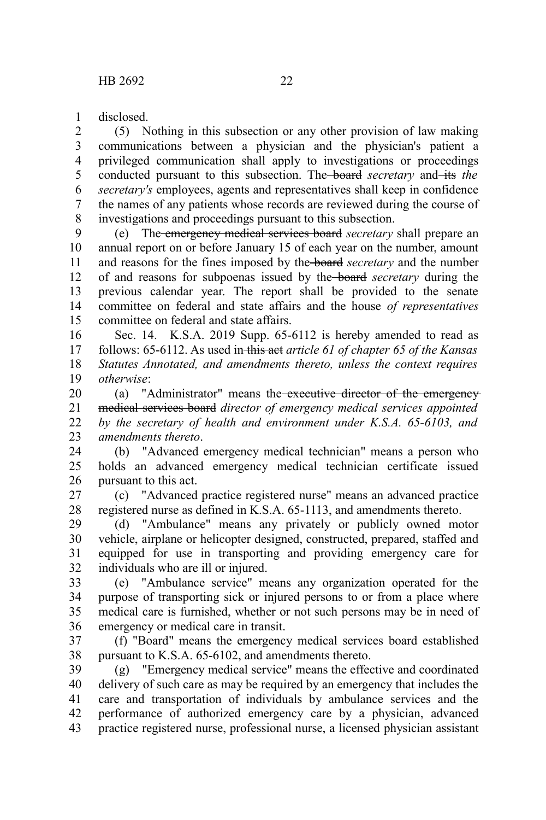disclosed. 1

(5) Nothing in this subsection or any other provision of law making communications between a physician and the physician's patient a privileged communication shall apply to investigations or proceedings conducted pursuant to this subsection. The **board** secretary and its the *secretary's* employees, agents and representatives shall keep in confidence the names of any patients whose records are reviewed during the course of investigations and proceedings pursuant to this subsection. 2 3 4 5 6 7 8

(e) The emergency medical services board *secretary* shall prepare an annual report on or before January 15 of each year on the number, amount and reasons for the fines imposed by the board *secretary* and the number of and reasons for subpoenas issued by the board *secretary* during the previous calendar year. The report shall be provided to the senate committee on federal and state affairs and the house *of representatives* committee on federal and state affairs. 9 10 11 12 13 14 15

Sec. 14. K.S.A. 2019 Supp. 65-6112 is hereby amended to read as follows: 65-6112. As used in this act *article 61 of chapter 65 of the Kansas Statutes Annotated, and amendments thereto, unless the context requires otherwise*: 16 17 18 19

(a) "Administrator" means the executive director of the emergency medical services board *director of emergency medical services appointed by the secretary of health and environment under K.S.A. 65-6103, and amendments thereto*. 20 21 22 23

(b) "Advanced emergency medical technician" means a person who holds an advanced emergency medical technician certificate issued pursuant to this act. 24 25 26

(c) "Advanced practice registered nurse" means an advanced practice registered nurse as defined in K.S.A. 65-1113, and amendments thereto. 27 28

(d) "Ambulance" means any privately or publicly owned motor vehicle, airplane or helicopter designed, constructed, prepared, staffed and equipped for use in transporting and providing emergency care for individuals who are ill or injured. 29 30 31 32

(e) "Ambulance service" means any organization operated for the purpose of transporting sick or injured persons to or from a place where medical care is furnished, whether or not such persons may be in need of emergency or medical care in transit. 33 34 35 36

(f) "Board" means the emergency medical services board established pursuant to K.S.A. 65-6102, and amendments thereto. 37 38

(g) "Emergency medical service" means the effective and coordinated delivery of such care as may be required by an emergency that includes the care and transportation of individuals by ambulance services and the performance of authorized emergency care by a physician, advanced practice registered nurse, professional nurse, a licensed physician assistant 39 40 41 42 43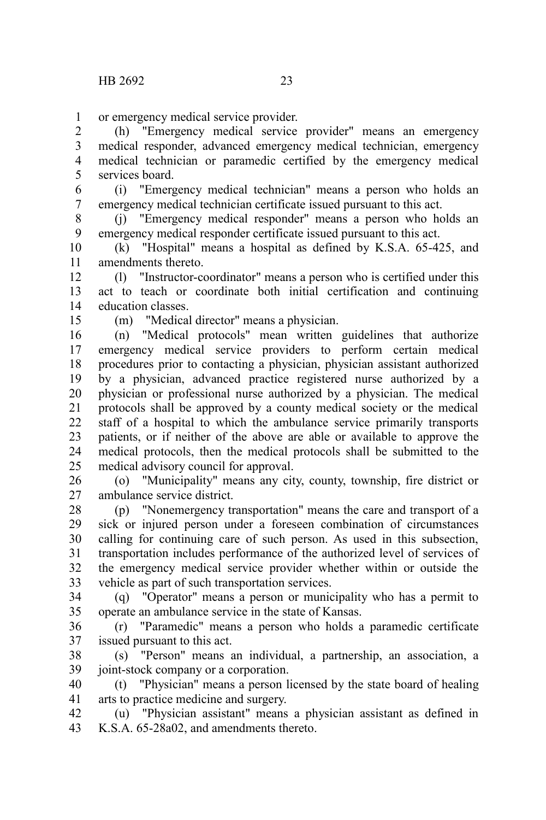or emergency medical service provider. 1

(h) "Emergency medical service provider" means an emergency medical responder, advanced emergency medical technician, emergency medical technician or paramedic certified by the emergency medical services board. 2 3 4 5

(i) "Emergency medical technician" means a person who holds an emergency medical technician certificate issued pursuant to this act. 6 7

(j) "Emergency medical responder" means a person who holds an emergency medical responder certificate issued pursuant to this act. 8 9

(k) "Hospital" means a hospital as defined by K.S.A. 65-425, and amendments thereto. 10 11

(l) "Instructor-coordinator" means a person who is certified under this act to teach or coordinate both initial certification and continuing education classes. 12 13 14

15

(m) "Medical director" means a physician.

(n) "Medical protocols" mean written guidelines that authorize emergency medical service providers to perform certain medical procedures prior to contacting a physician, physician assistant authorized by a physician, advanced practice registered nurse authorized by a physician or professional nurse authorized by a physician. The medical protocols shall be approved by a county medical society or the medical staff of a hospital to which the ambulance service primarily transports patients, or if neither of the above are able or available to approve the medical protocols, then the medical protocols shall be submitted to the medical advisory council for approval. 16 17 18 19 20 21 22 23 24 25

(o) "Municipality" means any city, county, township, fire district or ambulance service district. 26 27

(p) "Nonemergency transportation" means the care and transport of a sick or injured person under a foreseen combination of circumstances calling for continuing care of such person. As used in this subsection, transportation includes performance of the authorized level of services of the emergency medical service provider whether within or outside the vehicle as part of such transportation services. 28 29 30 31 32 33

(q) "Operator" means a person or municipality who has a permit to operate an ambulance service in the state of Kansas. 34 35

(r) "Paramedic" means a person who holds a paramedic certificate issued pursuant to this act. 36 37

(s) "Person" means an individual, a partnership, an association, a joint-stock company or a corporation. 38 39

(t) "Physician" means a person licensed by the state board of healing arts to practice medicine and surgery. 40 41

(u) "Physician assistant" means a physician assistant as defined in K.S.A. 65-28a02, and amendments thereto. 42 43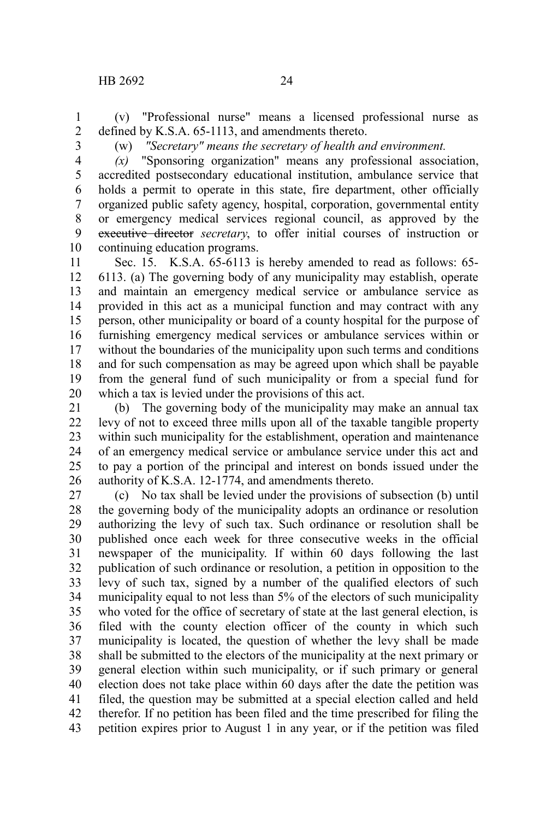(v) "Professional nurse" means a licensed professional nurse as defined by K.S.A. 65-1113, and amendments thereto. 1 2

3

(w) *"Secretary" means the secretary of health and environment.*

*(x)* "Sponsoring organization" means any professional association, accredited postsecondary educational institution, ambulance service that holds a permit to operate in this state, fire department, other officially organized public safety agency, hospital, corporation, governmental entity or emergency medical services regional council, as approved by the executive director *secretary*, to offer initial courses of instruction or continuing education programs. 4 5 6 7 8 9 10

Sec. 15. K.S.A. 65-6113 is hereby amended to read as follows: 65- 6113. (a) The governing body of any municipality may establish, operate and maintain an emergency medical service or ambulance service as provided in this act as a municipal function and may contract with any person, other municipality or board of a county hospital for the purpose of furnishing emergency medical services or ambulance services within or without the boundaries of the municipality upon such terms and conditions and for such compensation as may be agreed upon which shall be payable from the general fund of such municipality or from a special fund for which a tax is levied under the provisions of this act. 11 12 13 14 15 16 17 18 19 20

(b) The governing body of the municipality may make an annual tax levy of not to exceed three mills upon all of the taxable tangible property within such municipality for the establishment, operation and maintenance of an emergency medical service or ambulance service under this act and to pay a portion of the principal and interest on bonds issued under the authority of K.S.A. 12-1774, and amendments thereto. 21 22 23 24 25 26

(c) No tax shall be levied under the provisions of subsection (b) until the governing body of the municipality adopts an ordinance or resolution authorizing the levy of such tax. Such ordinance or resolution shall be published once each week for three consecutive weeks in the official newspaper of the municipality. If within 60 days following the last publication of such ordinance or resolution, a petition in opposition to the levy of such tax, signed by a number of the qualified electors of such municipality equal to not less than 5% of the electors of such municipality who voted for the office of secretary of state at the last general election, is filed with the county election officer of the county in which such municipality is located, the question of whether the levy shall be made shall be submitted to the electors of the municipality at the next primary or general election within such municipality, or if such primary or general election does not take place within 60 days after the date the petition was filed, the question may be submitted at a special election called and held therefor. If no petition has been filed and the time prescribed for filing the petition expires prior to August 1 in any year, or if the petition was filed 27 28 29 30 31 32 33 34 35 36 37 38 39 40 41 42 43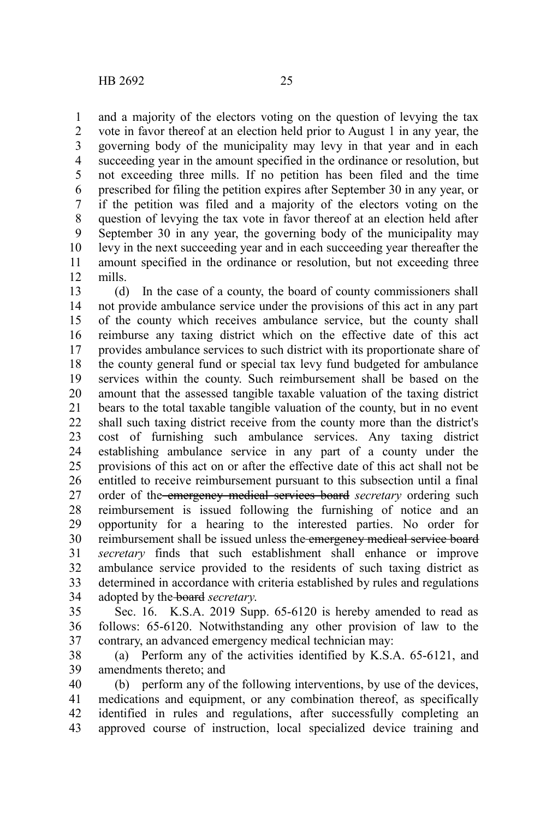and a majority of the electors voting on the question of levying the tax vote in favor thereof at an election held prior to August 1 in any year, the governing body of the municipality may levy in that year and in each succeeding year in the amount specified in the ordinance or resolution, but not exceeding three mills. If no petition has been filed and the time prescribed for filing the petition expires after September 30 in any year, or if the petition was filed and a majority of the electors voting on the question of levying the tax vote in favor thereof at an election held after September 30 in any year, the governing body of the municipality may levy in the next succeeding year and in each succeeding year thereafter the amount specified in the ordinance or resolution, but not exceeding three 1 2 3 4 5 6 7 8 9 10

mills. 11 12

(d) In the case of a county, the board of county commissioners shall not provide ambulance service under the provisions of this act in any part of the county which receives ambulance service, but the county shall reimburse any taxing district which on the effective date of this act provides ambulance services to such district with its proportionate share of the county general fund or special tax levy fund budgeted for ambulance services within the county. Such reimbursement shall be based on the amount that the assessed tangible taxable valuation of the taxing district bears to the total taxable tangible valuation of the county, but in no event shall such taxing district receive from the county more than the district's cost of furnishing such ambulance services. Any taxing district establishing ambulance service in any part of a county under the provisions of this act on or after the effective date of this act shall not be entitled to receive reimbursement pursuant to this subsection until a final order of the emergency medical services board *secretary* ordering such reimbursement is issued following the furnishing of notice and an opportunity for a hearing to the interested parties. No order for reimbursement shall be issued unless the emergency medical service board *secretary* finds that such establishment shall enhance or improve ambulance service provided to the residents of such taxing district as determined in accordance with criteria established by rules and regulations adopted by the board *secretary*. 13 14 15 16 17 18 19 20 21 22 23 24 25 26 27 28 29 30 31 32 33 34

Sec. 16. K.S.A. 2019 Supp. 65-6120 is hereby amended to read as follows: 65-6120. Notwithstanding any other provision of law to the contrary, an advanced emergency medical technician may: 35 36 37

(a) Perform any of the activities identified by K.S.A. 65-6121, and amendments thereto; and 38 39

(b) perform any of the following interventions, by use of the devices, medications and equipment, or any combination thereof, as specifically identified in rules and regulations, after successfully completing an approved course of instruction, local specialized device training and 40 41 42 43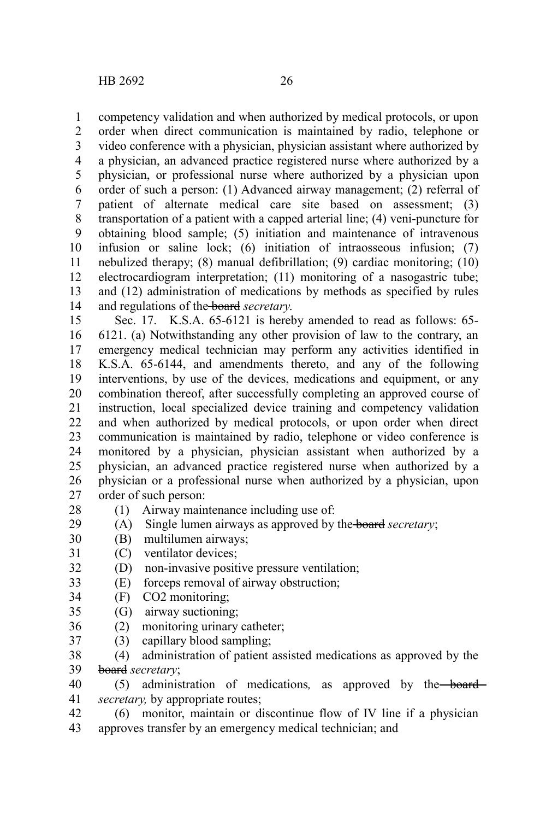competency validation and when authorized by medical protocols, or upon order when direct communication is maintained by radio, telephone or video conference with a physician, physician assistant where authorized by a physician, an advanced practice registered nurse where authorized by a physician, or professional nurse where authorized by a physician upon order of such a person: (1) Advanced airway management; (2) referral of patient of alternate medical care site based on assessment; (3) transportation of a patient with a capped arterial line; (4) veni-puncture for obtaining blood sample; (5) initiation and maintenance of intravenous infusion or saline lock; (6) initiation of intraosseous infusion; (7) nebulized therapy; (8) manual defibrillation; (9) cardiac monitoring; (10) electrocardiogram interpretation; (11) monitoring of a nasogastric tube; and (12) administration of medications by methods as specified by rules and regulations of the board *secretary*. 1 2 3 4 5 6 7 8 9 10 11 12 13 14

Sec. 17. K.S.A. 65-6121 is hereby amended to read as follows: 65- 6121. (a) Notwithstanding any other provision of law to the contrary, an emergency medical technician may perform any activities identified in K.S.A. 65-6144, and amendments thereto, and any of the following interventions, by use of the devices, medications and equipment, or any combination thereof, after successfully completing an approved course of instruction, local specialized device training and competency validation and when authorized by medical protocols, or upon order when direct communication is maintained by radio, telephone or video conference is monitored by a physician, physician assistant when authorized by a physician, an advanced practice registered nurse when authorized by a physician or a professional nurse when authorized by a physician, upon order of such person: 15 16 17 18 19 20 21 22 23 24 25 26 27

- (1) Airway maintenance including use of: 28
- (A) Single lumen airways as approved by the board *secretary*; 29
- (B) multilumen airways; 30
- (C) ventilator devices; 31
- (D) non-invasive positive pressure ventilation; 32
- (E) forceps removal of airway obstruction; 33
- (F) CO2 monitoring; 34
- (G) airway suctioning; 35
- (2) monitoring urinary catheter; 36
- (3) capillary blood sampling; 37

(4) administration of patient assisted medications as approved by the board *secretary*; 38 39

(5) administration of medications*,* as approved by the board *secretary,* by appropriate routes; 40 41

(6) monitor, maintain or discontinue flow of IV line if a physician approves transfer by an emergency medical technician; and 42 43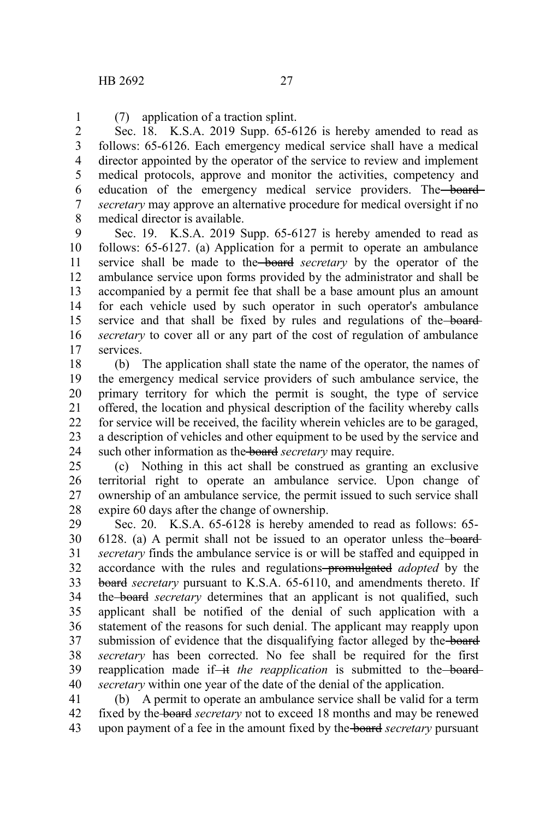1

(7) application of a traction splint. Sec. 18. K.S.A. 2019 Supp. 65-6126 is hereby amended to read as follows: 65-6126. Each emergency medical service shall have a medical director appointed by the operator of the service to review and implement medical protocols, approve and monitor the activities, competency and education of the emergency medical service providers. The board *secretary* may approve an alternative procedure for medical oversight if no medical director is available. 2 3 4 5 6 7 8

Sec. 19. K.S.A. 2019 Supp. 65-6127 is hereby amended to read as follows: 65-6127. (a) Application for a permit to operate an ambulance service shall be made to the board *secretary* by the operator of the ambulance service upon forms provided by the administrator and shall be accompanied by a permit fee that shall be a base amount plus an amount for each vehicle used by such operator in such operator's ambulance service and that shall be fixed by rules and regulations of the board*secretary* to cover all or any part of the cost of regulation of ambulance services. 9 10 11 12 13 14 15 16 17

(b) The application shall state the name of the operator, the names of the emergency medical service providers of such ambulance service, the primary territory for which the permit is sought, the type of service offered, the location and physical description of the facility whereby calls for service will be received, the facility wherein vehicles are to be garaged, a description of vehicles and other equipment to be used by the service and such other information as the board *secretary* may require. 18 19 20 21 22 23 24

(c) Nothing in this act shall be construed as granting an exclusive territorial right to operate an ambulance service. Upon change of ownership of an ambulance service*,* the permit issued to such service shall expire 60 days after the change of ownership. 25 26 27 28

Sec. 20. K.S.A. 65-6128 is hereby amended to read as follows: 65- 6128. (a) A permit shall not be issued to an operator unless the board *secretary* finds the ambulance service is or will be staffed and equipped in accordance with the rules and regulations promulgated *adopted* by the board *secretary* pursuant to K.S.A. 65-6110, and amendments thereto. If the board *secretary* determines that an applicant is not qualified, such applicant shall be notified of the denial of such application with a statement of the reasons for such denial. The applicant may reapply upon submission of evidence that the disqualifying factor alleged by the board *secretary* has been corrected. No fee shall be required for the first reapplication made if-it the reapplication is submitted to the-board*secretary* within one year of the date of the denial of the application. 29 30 31 32 33 34 35 36 37 38 39 40

(b) A permit to operate an ambulance service shall be valid for a term fixed by the board *secretary* not to exceed 18 months and may be renewed upon payment of a fee in the amount fixed by the board *secretary* pursuant 41 42 43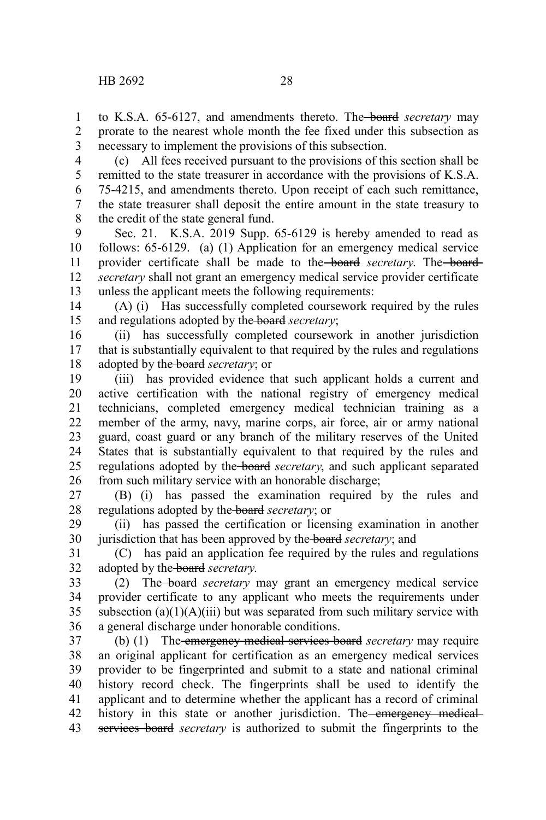to K.S.A. 65-6127, and amendments thereto. The board *secretary* may prorate to the nearest whole month the fee fixed under this subsection as necessary to implement the provisions of this subsection. 1 2 3

(c) All fees received pursuant to the provisions of this section shall be remitted to the state treasurer in accordance with the provisions of K.S.A. 75-4215, and amendments thereto. Upon receipt of each such remittance, the state treasurer shall deposit the entire amount in the state treasury to the credit of the state general fund. 4 5 6 7 8

Sec. 21. K.S.A. 2019 Supp. 65-6129 is hereby amended to read as follows: 65-6129. (a) (1) Application for an emergency medical service provider certificate shall be made to the board secretary. The board *secretary* shall not grant an emergency medical service provider certificate unless the applicant meets the following requirements: 9 10 11 12 13

(A) (i) Has successfully completed coursework required by the rules and regulations adopted by the board *secretary*; 14 15

(ii) has successfully completed coursework in another jurisdiction that is substantially equivalent to that required by the rules and regulations adopted by the board *secretary*; or 16 17 18

(iii) has provided evidence that such applicant holds a current and active certification with the national registry of emergency medical technicians, completed emergency medical technician training as a member of the army, navy, marine corps, air force, air or army national guard, coast guard or any branch of the military reserves of the United States that is substantially equivalent to that required by the rules and regulations adopted by the board *secretary*, and such applicant separated from such military service with an honorable discharge; 19 20 21 22 23 24 25 26

(B) (i) has passed the examination required by the rules and regulations adopted by the board *secretary*; or 27 28

(ii) has passed the certification or licensing examination in another jurisdiction that has been approved by the board *secretary*; and 29 30

(C) has paid an application fee required by the rules and regulations adopted by the board *secretary*. 31 32

(2) The board *secretary* may grant an emergency medical service provider certificate to any applicant who meets the requirements under subsection  $(a)(1)(A)(iii)$  but was separated from such military service with a general discharge under honorable conditions. 33 34 35 36

(b) (1) The emergency medical services board *secretary* may require an original applicant for certification as an emergency medical services provider to be fingerprinted and submit to a state and national criminal history record check. The fingerprints shall be used to identify the applicant and to determine whether the applicant has a record of criminal history in this state or another jurisdiction. The emergency medicalservices board *secretary* is authorized to submit the fingerprints to the 37 38 39 40 41 42 43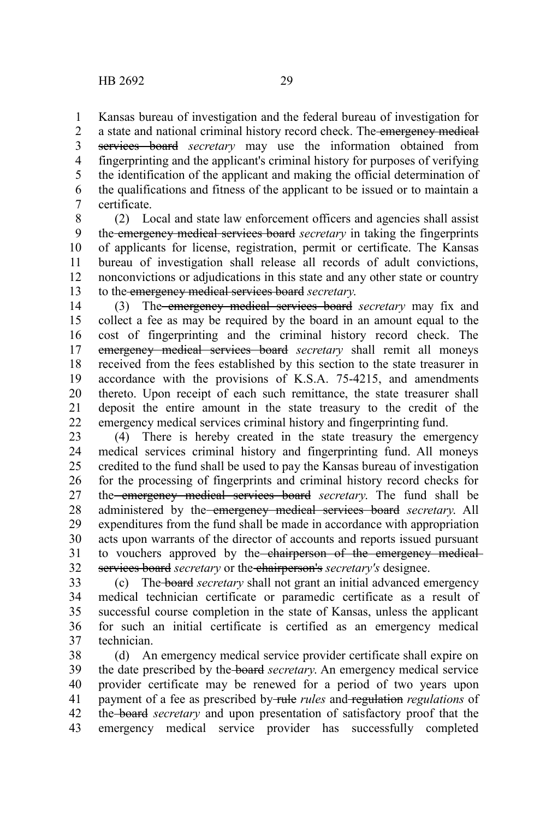Kansas bureau of investigation and the federal bureau of investigation for a state and national criminal history record check. The emergency medical services board *secretary* may use the information obtained from fingerprinting and the applicant's criminal history for purposes of verifying the identification of the applicant and making the official determination of the qualifications and fitness of the applicant to be issued or to maintain a certificate. 1 2 3 4 5 6 7

(2) Local and state law enforcement officers and agencies shall assist the emergency medical services board *secretary* in taking the fingerprints of applicants for license, registration, permit or certificate. The Kansas bureau of investigation shall release all records of adult convictions, nonconvictions or adjudications in this state and any other state or country to the emergency medical services board *secretary*. 8 9 10 11 12 13

(3) The emergency medical services board *secretary* may fix and collect a fee as may be required by the board in an amount equal to the cost of fingerprinting and the criminal history record check. The emergency medical services board *secretary* shall remit all moneys received from the fees established by this section to the state treasurer in accordance with the provisions of K.S.A. 75-4215, and amendments thereto. Upon receipt of each such remittance, the state treasurer shall deposit the entire amount in the state treasury to the credit of the emergency medical services criminal history and fingerprinting fund. 14 15 16 17 18 19 20 21 22

(4) There is hereby created in the state treasury the emergency medical services criminal history and fingerprinting fund. All moneys credited to the fund shall be used to pay the Kansas bureau of investigation for the processing of fingerprints and criminal history record checks for the emergency medical services board *secretary*. The fund shall be administered by the emergency medical services board *secretary*. All expenditures from the fund shall be made in accordance with appropriation acts upon warrants of the director of accounts and reports issued pursuant to vouchers approved by the chairperson of the emergency medicalservices board *secretary* or the chairperson's *secretary's* designee. 23 24 25 26 27 28 29 30 31 32

(c) The board *secretary* shall not grant an initial advanced emergency medical technician certificate or paramedic certificate as a result of successful course completion in the state of Kansas, unless the applicant for such an initial certificate is certified as an emergency medical technician. 33 34 35 36 37

(d) An emergency medical service provider certificate shall expire on the date prescribed by the board *secretary*. An emergency medical service provider certificate may be renewed for a period of two years upon payment of a fee as prescribed by rule *rules* and regulation *regulations* of the board *secretary* and upon presentation of satisfactory proof that the emergency medical service provider has successfully completed 38 39 40 41 42 43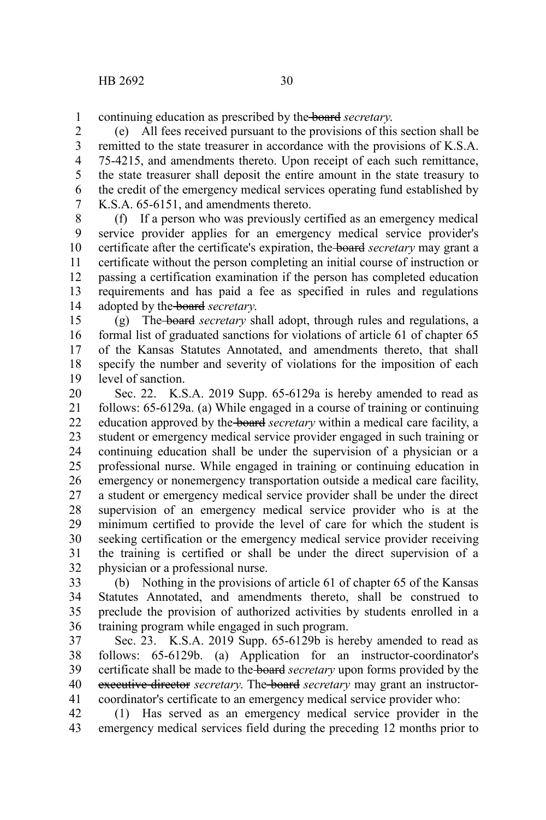continuing education as prescribed by the board *secretary*. 1

(e) All fees received pursuant to the provisions of this section shall be remitted to the state treasurer in accordance with the provisions of K.S.A. 75-4215, and amendments thereto. Upon receipt of each such remittance, the state treasurer shall deposit the entire amount in the state treasury to the credit of the emergency medical services operating fund established by K.S.A. 65-6151, and amendments thereto. 2 3 4 5 6 7

(f) If a person who was previously certified as an emergency medical service provider applies for an emergency medical service provider's certificate after the certificate's expiration, the board *secretary* may grant a certificate without the person completing an initial course of instruction or passing a certification examination if the person has completed education requirements and has paid a fee as specified in rules and regulations adopted by the board *secretary*. 8 9 10 11 12 13 14

(g) The board *secretary* shall adopt, through rules and regulations, a formal list of graduated sanctions for violations of article 61 of chapter 65 of the Kansas Statutes Annotated, and amendments thereto, that shall specify the number and severity of violations for the imposition of each level of sanction. 15 16 17 18 19

Sec. 22. K.S.A. 2019 Supp. 65-6129a is hereby amended to read as follows: 65-6129a. (a) While engaged in a course of training or continuing education approved by the board *secretary* within a medical care facility, a student or emergency medical service provider engaged in such training or continuing education shall be under the supervision of a physician or a professional nurse. While engaged in training or continuing education in emergency or nonemergency transportation outside a medical care facility, a student or emergency medical service provider shall be under the direct supervision of an emergency medical service provider who is at the minimum certified to provide the level of care for which the student is seeking certification or the emergency medical service provider receiving the training is certified or shall be under the direct supervision of a physician or a professional nurse. 20 21 22 23 24 25 26 27 28 29 30 31 32

(b) Nothing in the provisions of article 61 of chapter 65 of the Kansas Statutes Annotated, and amendments thereto, shall be construed to preclude the provision of authorized activities by students enrolled in a training program while engaged in such program. 33 34 35 36

Sec. 23. K.S.A. 2019 Supp. 65-6129b is hereby amended to read as follows: 65-6129b. (a) Application for an instructor-coordinator's certificate shall be made to the board *secretary* upon forms provided by the executive director *secretary*. The **board** *secretary* may grant an instructorcoordinator's certificate to an emergency medical service provider who: 37 38 39 40 41

(1) Has served as an emergency medical service provider in the emergency medical services field during the preceding 12 months prior to 42 43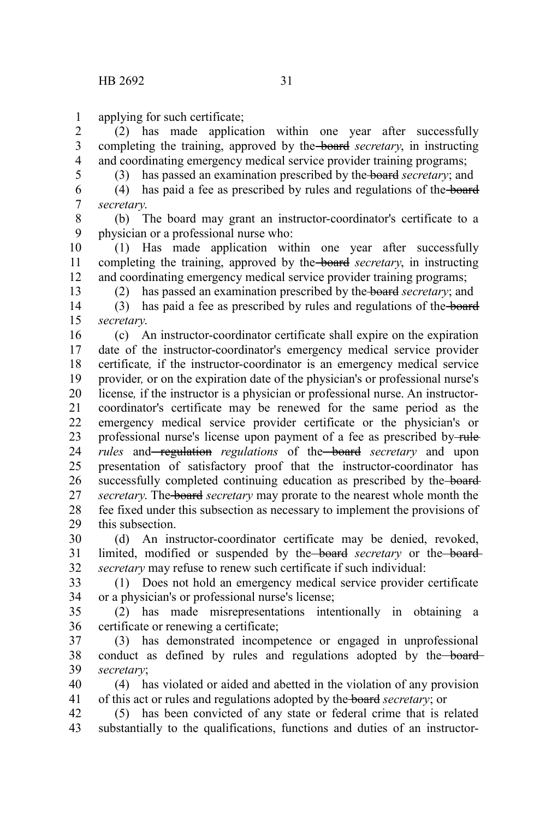applying for such certificate; 1

(2) has made application within one year after successfully completing the training, approved by the board *secretary*, in instructing and coordinating emergency medical service provider training programs; 2 3 4

5

(3) has passed an examination prescribed by the board *secretary*; and

(4) has paid a fee as prescribed by rules and regulations of the board *secretary*. 6 7

(b) The board may grant an instructor-coordinator's certificate to a physician or a professional nurse who: 8 9

(1) Has made application within one year after successfully completing the training, approved by the board *secretary*, in instructing and coordinating emergency medical service provider training programs; 10 11 12 13

(2) has passed an examination prescribed by the board *secretary*; and

(3) has paid a fee as prescribed by rules and regulations of the board *secretary*. 14 15

(c) An instructor-coordinator certificate shall expire on the expiration date of the instructor-coordinator's emergency medical service provider certificate*,* if the instructor-coordinator is an emergency medical service provider*,* or on the expiration date of the physician's or professional nurse's license*,* if the instructor is a physician or professional nurse. An instructorcoordinator's certificate may be renewed for the same period as the emergency medical service provider certificate or the physician's or professional nurse's license upon payment of a fee as prescribed by-rule *rules* and<del> regulation</del> *regulations* of the **board** *secretary* and upon presentation of satisfactory proof that the instructor-coordinator has successfully completed continuing education as prescribed by the board*secretary*. The board *secretary* may prorate to the nearest whole month the fee fixed under this subsection as necessary to implement the provisions of this subsection. 16 17 18 19 20 21 22 23 24 25 26 27 28 29

(d) An instructor-coordinator certificate may be denied, revoked, limited, modified or suspended by the **board** secretary or the **board** *secretary* may refuse to renew such certificate if such individual: 30 31 32

(1) Does not hold an emergency medical service provider certificate or a physician's or professional nurse's license; 33 34

(2) has made misrepresentations intentionally in obtaining a certificate or renewing a certificate; 35 36

(3) has demonstrated incompetence or engaged in unprofessional conduct as defined by rules and regulations adopted by the board*secretary*; 37 38 39

(4) has violated or aided and abetted in the violation of any provision of this act or rules and regulations adopted by the board *secretary*; or 40 41

(5) has been convicted of any state or federal crime that is related substantially to the qualifications, functions and duties of an instructor-42 43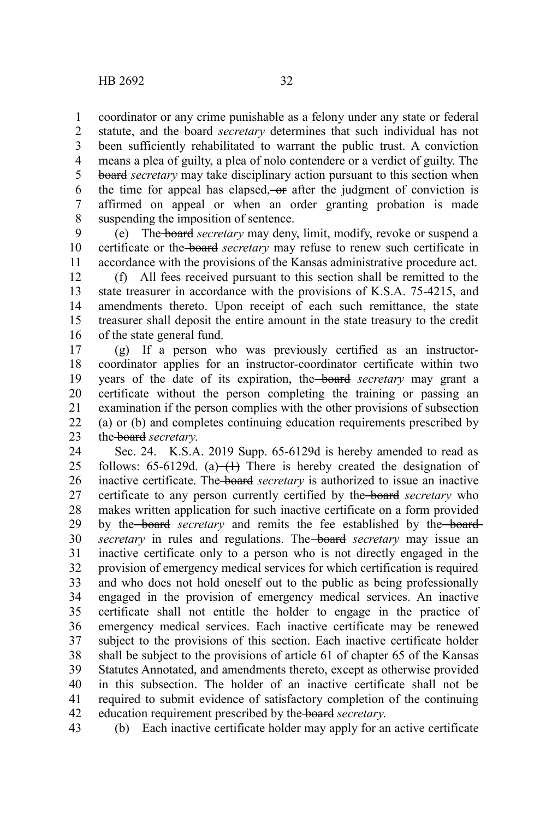coordinator or any crime punishable as a felony under any state or federal statute, and the board *secretary* determines that such individual has not been sufficiently rehabilitated to warrant the public trust. A conviction means a plea of guilty, a plea of nolo contendere or a verdict of guilty. The board *secretary* may take disciplinary action pursuant to this section when the time for appeal has elapsed, or after the judgment of conviction is affirmed on appeal or when an order granting probation is made suspending the imposition of sentence. 1 2 3 4 5 6 7 8

(e) The board *secretary* may deny, limit, modify, revoke or suspend a certificate or the board *secretary* may refuse to renew such certificate in accordance with the provisions of the Kansas administrative procedure act. 9 10 11

(f) All fees received pursuant to this section shall be remitted to the state treasurer in accordance with the provisions of K.S.A. 75-4215, and amendments thereto. Upon receipt of each such remittance, the state treasurer shall deposit the entire amount in the state treasury to the credit of the state general fund. 12 13 14 15 16

(g) If a person who was previously certified as an instructorcoordinator applies for an instructor-coordinator certificate within two years of the date of its expiration, the board *secretary* may grant a certificate without the person completing the training or passing an examination if the person complies with the other provisions of subsection (a) or (b) and completes continuing education requirements prescribed by the board *secretary*. 17 18 19 20 21 22 23

Sec. 24. K.S.A. 2019 Supp. 65-6129d is hereby amended to read as follows:  $65-6129d$ . (a) $\leftarrow$  There is hereby created the designation of inactive certificate. The board *secretary* is authorized to issue an inactive certificate to any person currently certified by the board *secretary* who makes written application for such inactive certificate on a form provided by the **board** secretary and remits the fee established by the **board** *secretary* in rules and regulations. The **board** *secretary* may issue an inactive certificate only to a person who is not directly engaged in the provision of emergency medical services for which certification is required and who does not hold oneself out to the public as being professionally engaged in the provision of emergency medical services. An inactive certificate shall not entitle the holder to engage in the practice of emergency medical services. Each inactive certificate may be renewed subject to the provisions of this section. Each inactive certificate holder shall be subject to the provisions of article 61 of chapter 65 of the Kansas Statutes Annotated, and amendments thereto, except as otherwise provided in this subsection. The holder of an inactive certificate shall not be required to submit evidence of satisfactory completion of the continuing education requirement prescribed by the board *secretary*. 24 25 26 27 28 29 30 31 32 33 34 35 36 37 38 39 40 41 42

(b) Each inactive certificate holder may apply for an active certificate 43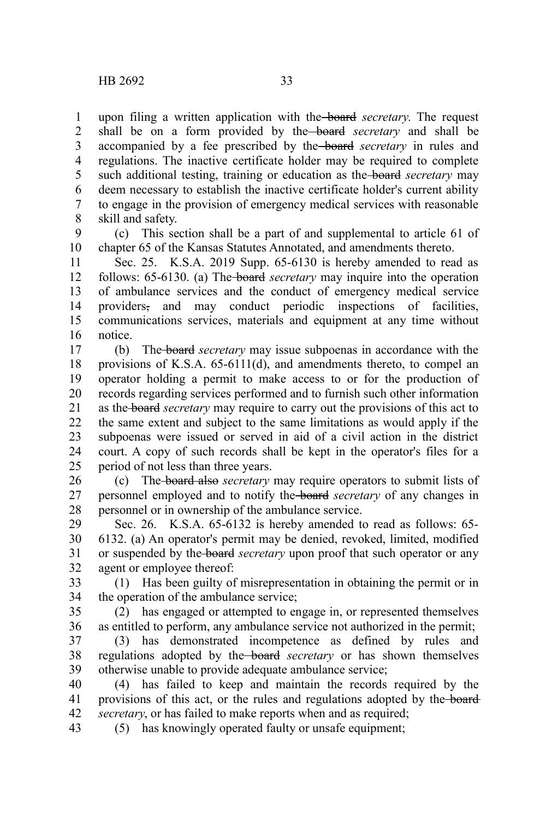upon filing a written application with the board *secretary*. The request shall be on a form provided by the board *secretary* and shall be accompanied by a fee prescribed by the board *secretary* in rules and regulations. The inactive certificate holder may be required to complete such additional testing, training or education as the board *secretary* may deem necessary to establish the inactive certificate holder's current ability to engage in the provision of emergency medical services with reasonable skill and safety. 1 2 3 4 5 6 7 8

(c) This section shall be a part of and supplemental to article 61 of chapter 65 of the Kansas Statutes Annotated, and amendments thereto. 9 10

Sec. 25. K.S.A. 2019 Supp. 65-6130 is hereby amended to read as follows: 65-6130. (a) The board *secretary* may inquire into the operation of ambulance services and the conduct of emergency medical service providers, and may conduct periodic inspections of facilities, communications services, materials and equipment at any time without notice. 11 12 13 14 15 16

(b) The board *secretary* may issue subpoenas in accordance with the provisions of K.S.A. 65-6111(d), and amendments thereto, to compel an operator holding a permit to make access to or for the production of records regarding services performed and to furnish such other information as the board *secretary* may require to carry out the provisions of this act to the same extent and subject to the same limitations as would apply if the subpoenas were issued or served in aid of a civil action in the district court. A copy of such records shall be kept in the operator's files for a period of not less than three years. 17 18 19 20 21 22 23 24 25

(c) The board also *secretary* may require operators to submit lists of personnel employed and to notify the board *secretary* of any changes in personnel or in ownership of the ambulance service. 26 27 28

Sec. 26. K.S.A. 65-6132 is hereby amended to read as follows: 65- 6132. (a) An operator's permit may be denied, revoked, limited, modified or suspended by the board *secretary* upon proof that such operator or any agent or employee thereof: 29 30 31 32

(1) Has been guilty of misrepresentation in obtaining the permit or in the operation of the ambulance service; 33 34

(2) has engaged or attempted to engage in, or represented themselves as entitled to perform, any ambulance service not authorized in the permit; 35 36

(3) has demonstrated incompetence as defined by rules and regulations adopted by the board *secretary* or has shown themselves otherwise unable to provide adequate ambulance service; 37 38 39

(4) has failed to keep and maintain the records required by the provisions of this act, or the rules and regulations adopted by the board *secretary*, or has failed to make reports when and as required; 40 41 42

(5) has knowingly operated faulty or unsafe equipment; 43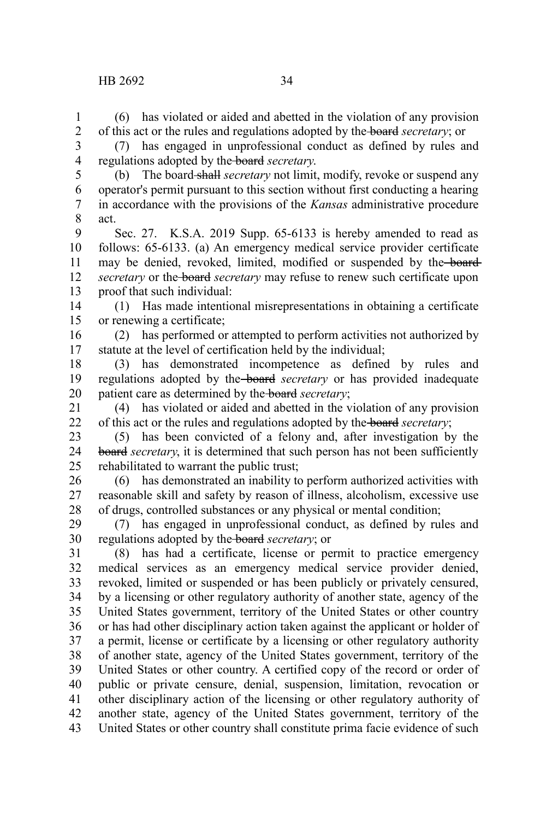(6) has violated or aided and abetted in the violation of any provision of this act or the rules and regulations adopted by the board *secretary*; or 1 2

(7) has engaged in unprofessional conduct as defined by rules and regulations adopted by the board *secretary*. 3 4

5

(b) The board shall *secretary* not limit, modify, revoke or suspend any operator's permit pursuant to this section without first conducting a hearing in accordance with the provisions of the *Kansas* administrative procedure act. 6 7 8

Sec. 27. K.S.A. 2019 Supp. 65-6133 is hereby amended to read as follows: 65-6133. (a) An emergency medical service provider certificate may be denied, revoked, limited, modified or suspended by the board *secretary* or the **board** *secretary* may refuse to renew such certificate upon proof that such individual: 9 10 11 12 13

(1) Has made intentional misrepresentations in obtaining a certificate or renewing a certificate; 14 15

(2) has performed or attempted to perform activities not authorized by statute at the level of certification held by the individual; 16 17

(3) has demonstrated incompetence as defined by rules and regulations adopted by the board *secretary* or has provided inadequate patient care as determined by the board *secretary*; 18 19 20

(4) has violated or aided and abetted in the violation of any provision of this act or the rules and regulations adopted by the board *secretary*; 21 22

(5) has been convicted of a felony and, after investigation by the board *secretary*, it is determined that such person has not been sufficiently rehabilitated to warrant the public trust; 23 24 25

(6) has demonstrated an inability to perform authorized activities with reasonable skill and safety by reason of illness, alcoholism, excessive use of drugs, controlled substances or any physical or mental condition; 26 27 28

(7) has engaged in unprofessional conduct, as defined by rules and regulations adopted by the board *secretary*; or 29 30

(8) has had a certificate, license or permit to practice emergency medical services as an emergency medical service provider denied, revoked, limited or suspended or has been publicly or privately censured, by a licensing or other regulatory authority of another state, agency of the United States government, territory of the United States or other country or has had other disciplinary action taken against the applicant or holder of a permit, license or certificate by a licensing or other regulatory authority of another state, agency of the United States government, territory of the United States or other country. A certified copy of the record or order of public or private censure, denial, suspension, limitation, revocation or other disciplinary action of the licensing or other regulatory authority of another state, agency of the United States government, territory of the United States or other country shall constitute prima facie evidence of such 31 32 33 34 35 36 37 38 39 40 41 42 43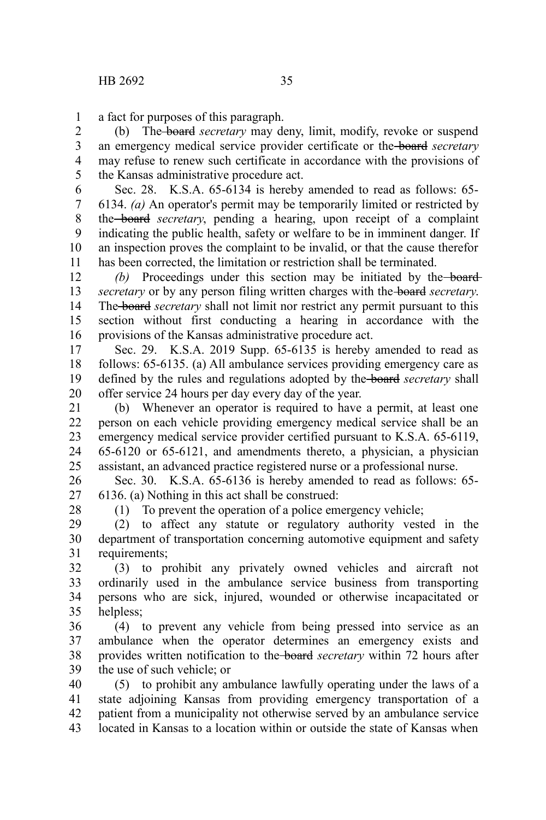a fact for purposes of this paragraph. 1

(b) The board *secretary* may deny, limit, modify, revoke or suspend an emergency medical service provider certificate or the board *secretary* may refuse to renew such certificate in accordance with the provisions of the Kansas administrative procedure act. 2 3 4 5

Sec. 28. K.S.A. 65-6134 is hereby amended to read as follows: 65- 6134. *(a)* An operator's permit may be temporarily limited or restricted by the board *secretary*, pending a hearing, upon receipt of a complaint indicating the public health, safety or welfare to be in imminent danger. If an inspection proves the complaint to be invalid, or that the cause therefor has been corrected, the limitation or restriction shall be terminated. 6 7 8 9 10 11

(b) Proceedings under this section may be initiated by the board*secretary* or by any person filing written charges with the board *secretary*. The board *secretary* shall not limit nor restrict any permit pursuant to this section without first conducting a hearing in accordance with the provisions of the Kansas administrative procedure act. 12 13 14 15 16

Sec. 29. K.S.A. 2019 Supp. 65-6135 is hereby amended to read as follows: 65-6135. (a) All ambulance services providing emergency care as defined by the rules and regulations adopted by the board *secretary* shall offer service 24 hours per day every day of the year. 17 18 19 20

(b) Whenever an operator is required to have a permit, at least one person on each vehicle providing emergency medical service shall be an emergency medical service provider certified pursuant to K.S.A. 65-6119, 65-6120 or 65-6121, and amendments thereto, a physician, a physician assistant, an advanced practice registered nurse or a professional nurse. 21 22 23 24 25

Sec. 30. K.S.A. 65-6136 is hereby amended to read as follows: 65- 6136. (a) Nothing in this act shall be construed: 26 27

28

(1) To prevent the operation of a police emergency vehicle;

(2) to affect any statute or regulatory authority vested in the department of transportation concerning automotive equipment and safety requirements; 29 30 31

(3) to prohibit any privately owned vehicles and aircraft not ordinarily used in the ambulance service business from transporting persons who are sick, injured, wounded or otherwise incapacitated or helpless; 32 33 34 35

(4) to prevent any vehicle from being pressed into service as an ambulance when the operator determines an emergency exists and provides written notification to the board *secretary* within 72 hours after the use of such vehicle; or 36 37 38 39

(5) to prohibit any ambulance lawfully operating under the laws of a state adjoining Kansas from providing emergency transportation of a patient from a municipality not otherwise served by an ambulance service located in Kansas to a location within or outside the state of Kansas when 40 41 42 43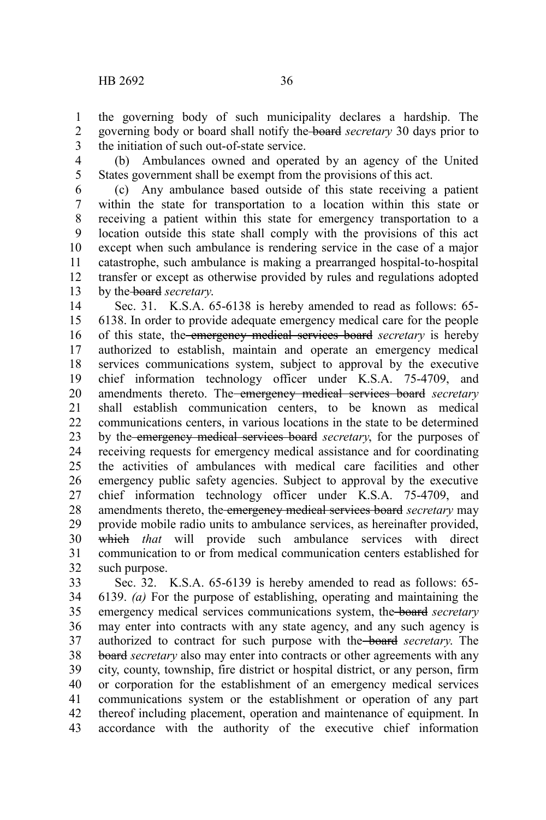the governing body of such municipality declares a hardship. The governing body or board shall notify the board *secretary* 30 days prior to the initiation of such out-of-state service. 1 2 3

(b) Ambulances owned and operated by an agency of the United States government shall be exempt from the provisions of this act. 4 5

(c) Any ambulance based outside of this state receiving a patient within the state for transportation to a location within this state or receiving a patient within this state for emergency transportation to a location outside this state shall comply with the provisions of this act except when such ambulance is rendering service in the case of a major catastrophe, such ambulance is making a prearranged hospital-to-hospital transfer or except as otherwise provided by rules and regulations adopted by the board *secretary*. 6 7 8 9 10 11 12 13

Sec. 31. K.S.A. 65-6138 is hereby amended to read as follows: 65- 6138. In order to provide adequate emergency medical care for the people of this state, the emergency medical services board *secretary* is hereby authorized to establish, maintain and operate an emergency medical services communications system, subject to approval by the executive chief information technology officer under K.S.A. 75-4709, and amendments thereto. The emergency medical services board *secretary* shall establish communication centers, to be known as medical communications centers, in various locations in the state to be determined by the emergency medical services board *secretary*, for the purposes of receiving requests for emergency medical assistance and for coordinating the activities of ambulances with medical care facilities and other emergency public safety agencies. Subject to approval by the executive chief information technology officer under K.S.A. 75-4709, and amendments thereto, the emergency medical services board *secretary* may provide mobile radio units to ambulance services, as hereinafter provided, which *that* will provide such ambulance services with direct communication to or from medical communication centers established for such purpose. 14 15 16 17 18 19 20 21 22 23 24 25 26 27 28 29 30 31 32

Sec. 32. K.S.A. 65-6139 is hereby amended to read as follows: 65- 6139. *(a)* For the purpose of establishing, operating and maintaining the emergency medical services communications system, the board *secretary* may enter into contracts with any state agency, and any such agency is authorized to contract for such purpose with the board *secretary*. The board *secretary* also may enter into contracts or other agreements with any city, county, township, fire district or hospital district, or any person, firm or corporation for the establishment of an emergency medical services communications system or the establishment or operation of any part thereof including placement, operation and maintenance of equipment. In accordance with the authority of the executive chief information 33 34 35 36 37 38 39 40 41 42 43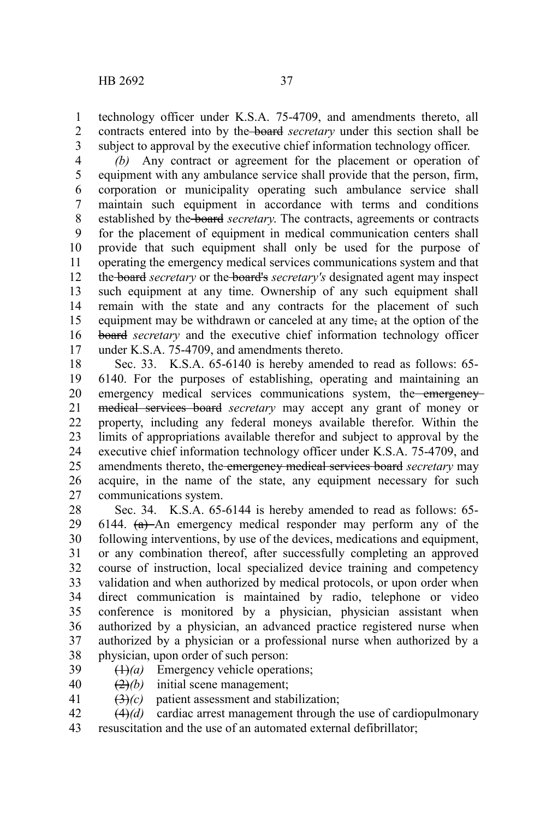technology officer under K.S.A. 75-4709, and amendments thereto, all contracts entered into by the board *secretary* under this section shall be subject to approval by the executive chief information technology officer. 1 2 3

*(b)* Any contract or agreement for the placement or operation of equipment with any ambulance service shall provide that the person, firm, corporation or municipality operating such ambulance service shall maintain such equipment in accordance with terms and conditions established by the board *secretary*. The contracts, agreements or contracts for the placement of equipment in medical communication centers shall provide that such equipment shall only be used for the purpose of operating the emergency medical services communications system and that the board *secretary* or the board's *secretary's* designated agent may inspect such equipment at any time. Ownership of any such equipment shall remain with the state and any contracts for the placement of such equipment may be withdrawn or canceled at any time, at the option of the board *secretary* and the executive chief information technology officer under K.S.A. 75-4709, and amendments thereto. 4 5 6 7 8 9 10 11 12 13 14 15 16 17

Sec. 33. K.S.A. 65-6140 is hereby amended to read as follows: 65- 6140. For the purposes of establishing, operating and maintaining an emergency medical services communications system, the emergencymedical services board *secretary* may accept any grant of money or property, including any federal moneys available therefor. Within the limits of appropriations available therefor and subject to approval by the executive chief information technology officer under K.S.A. 75-4709, and amendments thereto, the emergency medical services board *secretary* may acquire, in the name of the state, any equipment necessary for such communications system. 18 19 20 21 22 23 24 25 26 27

Sec. 34. K.S.A. 65-6144 is hereby amended to read as follows: 65- 6144.  $(a)$ -An emergency medical responder may perform any of the following interventions, by use of the devices, medications and equipment, or any combination thereof, after successfully completing an approved course of instruction, local specialized device training and competency validation and when authorized by medical protocols, or upon order when direct communication is maintained by radio, telephone or video conference is monitored by a physician, physician assistant when authorized by a physician, an advanced practice registered nurse when authorized by a physician or a professional nurse when authorized by a physician, upon order of such person: 28 29 30 31 32 33 34 35 36 37 38

- $(1)$ *(a)* Emergency vehicle operations; 39
- (2)*(b)* initial scene management; 40
- (3)*(c)* patient assessment and stabilization; 41
- (4)*(d)* cardiac arrest management through the use of cardiopulmonary 42
- resuscitation and the use of an automated external defibrillator; 43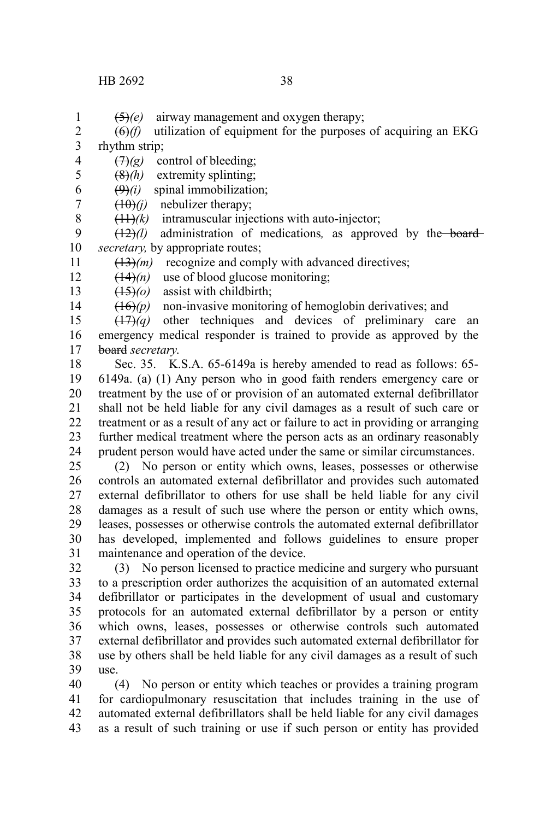$\left(\frac{\Theta}{f}\right)$  utilization of equipment for the purposes of acquiring an EKG rhythm strip; 2 3

 $(7)$ *(g)* control of bleeding; 4

(8)*(h)* extremity splinting; 5

 $(9)(i)$  spinal immobilization; 6

(10)*(j)* nebulizer therapy; 7 8

(11)*(k)* intramuscular injections with auto-injector;

 $(12)(l)$  administration of medications, as approved by the board*secretary,* by appropriate routes; 9 10

(13)*(m)* recognize and comply with advanced directives; 11

 $(14)$ *(n)* use of blood glucose monitoring; 12

(15)*(o)* assist with childbirth; 13

14

1

 $(16)(p)$  non-invasive monitoring of hemoglobin derivatives; and

(17)*(q)* other techniques and devices of preliminary care an emergency medical responder is trained to provide as approved by the board *secretary*. 15 16 17

Sec. 35. K.S.A. 65-6149a is hereby amended to read as follows: 65- 6149a. (a) (1) Any person who in good faith renders emergency care or treatment by the use of or provision of an automated external defibrillator shall not be held liable for any civil damages as a result of such care or treatment or as a result of any act or failure to act in providing or arranging further medical treatment where the person acts as an ordinary reasonably prudent person would have acted under the same or similar circumstances. 18 19 20 21 22 23 24

(2) No person or entity which owns, leases, possesses or otherwise controls an automated external defibrillator and provides such automated external defibrillator to others for use shall be held liable for any civil damages as a result of such use where the person or entity which owns, leases, possesses or otherwise controls the automated external defibrillator has developed, implemented and follows guidelines to ensure proper maintenance and operation of the device. 25 26 27 28 29 30 31

(3) No person licensed to practice medicine and surgery who pursuant to a prescription order authorizes the acquisition of an automated external defibrillator or participates in the development of usual and customary protocols for an automated external defibrillator by a person or entity which owns, leases, possesses or otherwise controls such automated external defibrillator and provides such automated external defibrillator for use by others shall be held liable for any civil damages as a result of such use. 32 33 34 35 36 37 38 39

(4) No person or entity which teaches or provides a training program for cardiopulmonary resuscitation that includes training in the use of automated external defibrillators shall be held liable for any civil damages as a result of such training or use if such person or entity has provided 40 41 42 43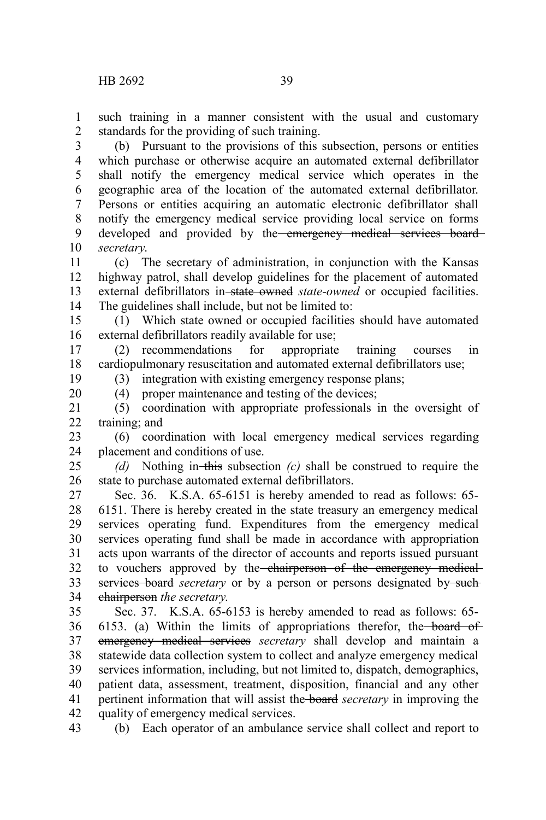19 20

such training in a manner consistent with the usual and customary standards for the providing of such training. 1 2

(b) Pursuant to the provisions of this subsection, persons or entities which purchase or otherwise acquire an automated external defibrillator shall notify the emergency medical service which operates in the geographic area of the location of the automated external defibrillator. Persons or entities acquiring an automatic electronic defibrillator shall notify the emergency medical service providing local service on forms developed and provided by the emergency medical services board*secretary*. 3 4 5 6 7 8 9 10

(c) The secretary of administration, in conjunction with the Kansas highway patrol, shall develop guidelines for the placement of automated external defibrillators in-state owned *state-owned* or occupied facilities. The guidelines shall include, but not be limited to: 11 12 13 14

(1) Which state owned or occupied facilities should have automated external defibrillators readily available for use; 15 16

(2) recommendations for appropriate training courses in cardiopulmonary resuscitation and automated external defibrillators use; 17 18

(3) integration with existing emergency response plans;

(4) proper maintenance and testing of the devices;

(5) coordination with appropriate professionals in the oversight of training; and 21  $22$ 

(6) coordination with local emergency medical services regarding placement and conditions of use. 23 24

*(d)* Nothing in this subsection *(c)* shall be construed to require the state to purchase automated external defibrillators. 25 26

Sec. 36. K.S.A. 65-6151 is hereby amended to read as follows: 65- 6151. There is hereby created in the state treasury an emergency medical services operating fund. Expenditures from the emergency medical services operating fund shall be made in accordance with appropriation acts upon warrants of the director of accounts and reports issued pursuant to vouchers approved by the chairperson of the emergency medicalservices board *secretary* or by a person or persons designated by-suchchairperson *the secretary*. 27 28 29 30 31 32 33 34

Sec. 37. K.S.A. 65-6153 is hereby amended to read as follows: 65- 6153. (a) Within the limits of appropriations therefor, the board of emergency medical services *secretary* shall develop and maintain a statewide data collection system to collect and analyze emergency medical services information, including, but not limited to, dispatch, demographics, patient data, assessment, treatment, disposition, financial and any other pertinent information that will assist the board *secretary* in improving the quality of emergency medical services. 35 36 37 38 39 40 41 42

(b) Each operator of an ambulance service shall collect and report to 43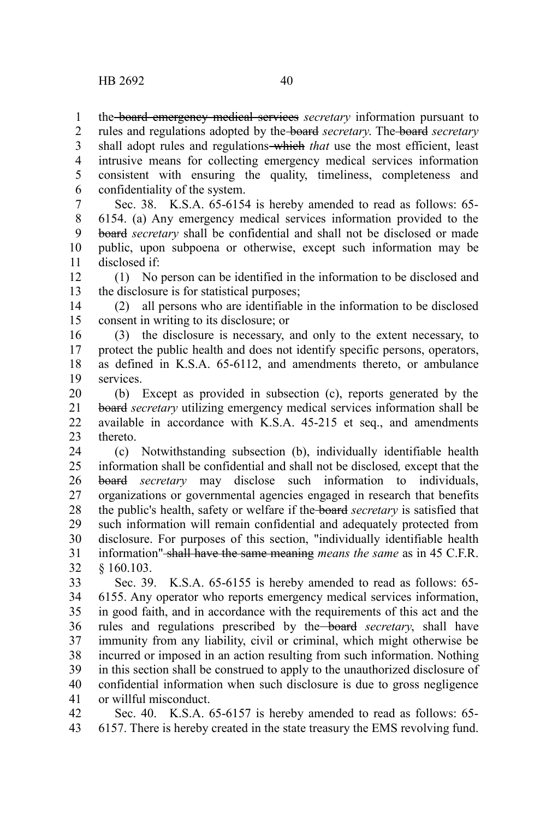the board emergency medical services *secretary* information pursuant to rules and regulations adopted by the board *secretary*. The board *secretary* shall adopt rules and regulations which *that* use the most efficient, least intrusive means for collecting emergency medical services information consistent with ensuring the quality, timeliness, completeness and confidentiality of the system. 1 2 3 4 5 6

Sec. 38. K.S.A. 65-6154 is hereby amended to read as follows: 65- 6154. (a) Any emergency medical services information provided to the board *secretary* shall be confidential and shall not be disclosed or made public, upon subpoena or otherwise, except such information may be disclosed if: 7 8 9 10 11

(1) No person can be identified in the information to be disclosed and the disclosure is for statistical purposes; 12 13

(2) all persons who are identifiable in the information to be disclosed consent in writing to its disclosure; or 14 15

(3) the disclosure is necessary, and only to the extent necessary, to protect the public health and does not identify specific persons, operators, as defined in K.S.A. 65-6112, and amendments thereto, or ambulance services. 16 17 18 19

(b) Except as provided in subsection (c), reports generated by the board *secretary* utilizing emergency medical services information shall be available in accordance with K.S.A. 45-215 et seq., and amendments thereto. 20 21 22 23

(c) Notwithstanding subsection (b), individually identifiable health information shall be confidential and shall not be disclosed*,* except that the board *secretary* may disclose such information to individuals, organizations or governmental agencies engaged in research that benefits the public's health, safety or welfare if the board *secretary* is satisfied that such information will remain confidential and adequately protected from disclosure. For purposes of this section, "individually identifiable health information" shall have the same meaning *means the same* as in 45 C.F.R. § 160.103. 24 25 26 27 28 29 30 31 32

Sec. 39. K.S.A. 65-6155 is hereby amended to read as follows: 65- 6155. Any operator who reports emergency medical services information, in good faith, and in accordance with the requirements of this act and the rules and regulations prescribed by the board *secretary*, shall have immunity from any liability, civil or criminal, which might otherwise be incurred or imposed in an action resulting from such information. Nothing in this section shall be construed to apply to the unauthorized disclosure of confidential information when such disclosure is due to gross negligence or willful misconduct. 33 34 35 36 37 38 39 40 41

Sec. 40. K.S.A. 65-6157 is hereby amended to read as follows: 65- 6157. There is hereby created in the state treasury the EMS revolving fund. 42 43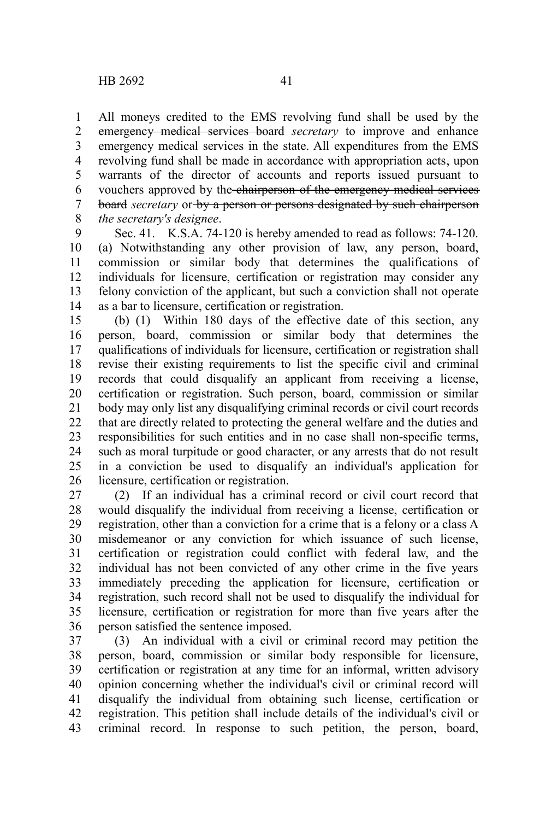All moneys credited to the EMS revolving fund shall be used by the emergency medical services board *secretary* to improve and enhance emergency medical services in the state. All expenditures from the EMS revolving fund shall be made in accordance with appropriation acts, upon warrants of the director of accounts and reports issued pursuant to vouchers approved by the chairperson of the emergency medical services board *secretary* or by a person or persons designated by such chairperson *the secretary's designee*. 1 2 3 4 5 6 7 8

Sec. 41. K.S.A. 74-120 is hereby amended to read as follows: 74-120. (a) Notwithstanding any other provision of law, any person, board, commission or similar body that determines the qualifications of individuals for licensure, certification or registration may consider any felony conviction of the applicant, but such a conviction shall not operate as a bar to licensure, certification or registration. 9 10 11 12 13 14

(b) (1) Within 180 days of the effective date of this section, any person, board, commission or similar body that determines the qualifications of individuals for licensure, certification or registration shall revise their existing requirements to list the specific civil and criminal records that could disqualify an applicant from receiving a license, certification or registration. Such person, board, commission or similar body may only list any disqualifying criminal records or civil court records that are directly related to protecting the general welfare and the duties and responsibilities for such entities and in no case shall non-specific terms, such as moral turpitude or good character, or any arrests that do not result in a conviction be used to disqualify an individual's application for licensure, certification or registration. 15 16 17 18 19 20 21 22 23 24 25 26

(2) If an individual has a criminal record or civil court record that would disqualify the individual from receiving a license, certification or registration, other than a conviction for a crime that is a felony or a class A misdemeanor or any conviction for which issuance of such license, certification or registration could conflict with federal law, and the individual has not been convicted of any other crime in the five years immediately preceding the application for licensure, certification or registration, such record shall not be used to disqualify the individual for licensure, certification or registration for more than five years after the person satisfied the sentence imposed. 27 28 29 30 31 32 33 34 35 36

(3) An individual with a civil or criminal record may petition the person, board, commission or similar body responsible for licensure, certification or registration at any time for an informal, written advisory opinion concerning whether the individual's civil or criminal record will disqualify the individual from obtaining such license, certification or registration. This petition shall include details of the individual's civil or criminal record. In response to such petition, the person, board, 37 38 39 40 41 42 43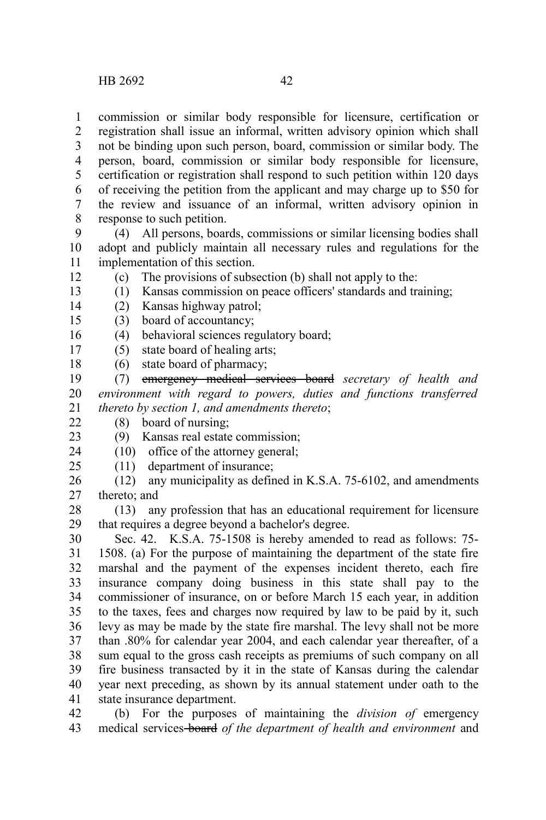commission or similar body responsible for licensure, certification or registration shall issue an informal, written advisory opinion which shall not be binding upon such person, board, commission or similar body. The person, board, commission or similar body responsible for licensure, certification or registration shall respond to such petition within 120 days of receiving the petition from the applicant and may charge up to \$50 for the review and issuance of an informal, written advisory opinion in response to such petition. 1 2 3 4 5 6 7 8

(4) All persons, boards, commissions or similar licensing bodies shall adopt and publicly maintain all necessary rules and regulations for the implementation of this section. 9 10 11

(c) The provisions of subsection (b) shall not apply to the: 12

(1) Kansas commission on peace officers' standards and training; 13

- (2) Kansas highway patrol; 14
- (3) board of accountancy; 15
- (4) behavioral sciences regulatory board; 16
- (5) state board of healing arts; 17
- (6) state board of pharmacy; 18

(7) emergency medical services board *secretary of health and environment with regard to powers, duties and functions transferred thereto by section 1, and amendments thereto*; 19 20 21

(8) board of nursing;  $22$ 

(9) Kansas real estate commission; 23

(10) office of the attorney general; 24

(11) department of insurance;  $25$ 

(12) any municipality as defined in K.S.A. 75-6102, and amendments thereto; and 26 27

(13) any profession that has an educational requirement for licensure that requires a degree beyond a bachelor's degree. 28 29

Sec. 42. K.S.A. 75-1508 is hereby amended to read as follows: 75- 1508. (a) For the purpose of maintaining the department of the state fire marshal and the payment of the expenses incident thereto, each fire insurance company doing business in this state shall pay to the commissioner of insurance, on or before March 15 each year, in addition to the taxes, fees and charges now required by law to be paid by it, such levy as may be made by the state fire marshal. The levy shall not be more than .80% for calendar year 2004, and each calendar year thereafter, of a sum equal to the gross cash receipts as premiums of such company on all fire business transacted by it in the state of Kansas during the calendar year next preceding, as shown by its annual statement under oath to the state insurance department. 30 31 32 33 34 35 36 37 38 39 40 41

(b) For the purposes of maintaining the *division of* emergency medical services board *of the department of health and environment* and 42 43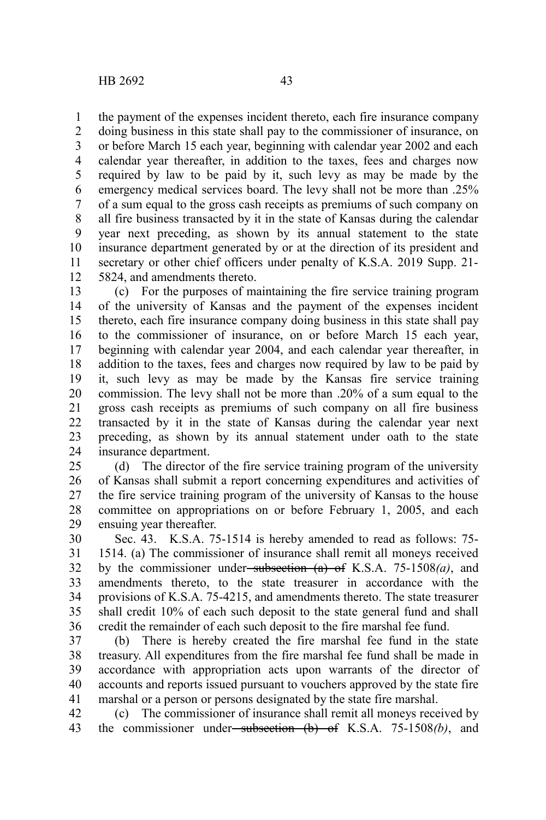the payment of the expenses incident thereto, each fire insurance company 1

doing business in this state shall pay to the commissioner of insurance, on or before March 15 each year, beginning with calendar year 2002 and each calendar year thereafter, in addition to the taxes, fees and charges now required by law to be paid by it, such levy as may be made by the emergency medical services board. The levy shall not be more than .25% of a sum equal to the gross cash receipts as premiums of such company on all fire business transacted by it in the state of Kansas during the calendar year next preceding, as shown by its annual statement to the state insurance department generated by or at the direction of its president and secretary or other chief officers under penalty of K.S.A. 2019 Supp. 21- 5824, and amendments thereto. 2 3 4 5 6 7 8 9 10 11 12

(c) For the purposes of maintaining the fire service training program of the university of Kansas and the payment of the expenses incident thereto, each fire insurance company doing business in this state shall pay to the commissioner of insurance, on or before March 15 each year, beginning with calendar year 2004, and each calendar year thereafter, in addition to the taxes, fees and charges now required by law to be paid by it, such levy as may be made by the Kansas fire service training commission. The levy shall not be more than .20% of a sum equal to the gross cash receipts as premiums of such company on all fire business transacted by it in the state of Kansas during the calendar year next preceding, as shown by its annual statement under oath to the state insurance department. 13 14 15 16 17 18 19 20 21 22 23 24

(d) The director of the fire service training program of the university of Kansas shall submit a report concerning expenditures and activities of the fire service training program of the university of Kansas to the house committee on appropriations on or before February 1, 2005, and each ensuing year thereafter. 25 26 27 28 29

Sec. 43. K.S.A. 75-1514 is hereby amended to read as follows: 75- 1514. (a) The commissioner of insurance shall remit all moneys received by the commissioner under subsection (a) of K.S.A. 75-1508*(a)*, and amendments thereto, to the state treasurer in accordance with the provisions of K.S.A. 75-4215, and amendments thereto. The state treasurer shall credit 10% of each such deposit to the state general fund and shall credit the remainder of each such deposit to the fire marshal fee fund. 30 31 32 33 34 35 36

(b) There is hereby created the fire marshal fee fund in the state treasury. All expenditures from the fire marshal fee fund shall be made in accordance with appropriation acts upon warrants of the director of accounts and reports issued pursuant to vouchers approved by the state fire marshal or a person or persons designated by the state fire marshal. 37 38 39 40 41

(c) The commissioner of insurance shall remit all moneys received by the commissioner under subsection (b) of K.S.A. 75-1508*(b)*, and 42 43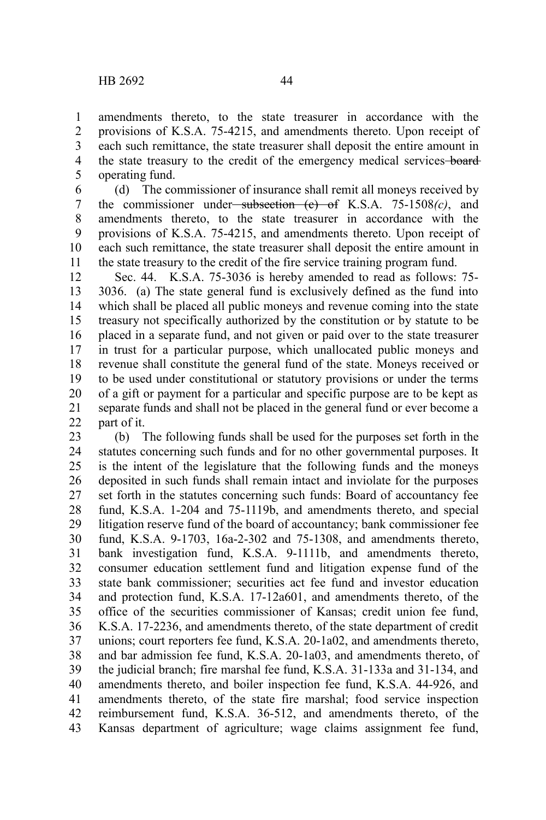1

amendments thereto, to the state treasurer in accordance with the provisions of K.S.A. 75-4215, and amendments thereto. Upon receipt of

each such remittance, the state treasurer shall deposit the entire amount in the state treasury to the credit of the emergency medical services-boardoperating fund. 2 3 4 5

(d) The commissioner of insurance shall remit all moneys received by the commissioner under subsection (c) of K.S.A. 75-1508*(c)*, and amendments thereto, to the state treasurer in accordance with the provisions of K.S.A. 75-4215, and amendments thereto. Upon receipt of each such remittance, the state treasurer shall deposit the entire amount in the state treasury to the credit of the fire service training program fund. 6 7 8 9 10 11

Sec. 44. K.S.A. 75-3036 is hereby amended to read as follows: 75- 3036. (a) The state general fund is exclusively defined as the fund into which shall be placed all public moneys and revenue coming into the state treasury not specifically authorized by the constitution or by statute to be placed in a separate fund, and not given or paid over to the state treasurer in trust for a particular purpose, which unallocated public moneys and revenue shall constitute the general fund of the state. Moneys received or to be used under constitutional or statutory provisions or under the terms of a gift or payment for a particular and specific purpose are to be kept as separate funds and shall not be placed in the general fund or ever become a part of it. 12 13 14 15 16 17 18 19 20 21 22

(b) The following funds shall be used for the purposes set forth in the statutes concerning such funds and for no other governmental purposes. It is the intent of the legislature that the following funds and the moneys deposited in such funds shall remain intact and inviolate for the purposes set forth in the statutes concerning such funds: Board of accountancy fee fund, K.S.A. 1-204 and 75-1119b, and amendments thereto, and special litigation reserve fund of the board of accountancy; bank commissioner fee fund, K.S.A. 9-1703, 16a-2-302 and 75-1308, and amendments thereto, bank investigation fund, K.S.A. 9-1111b, and amendments thereto, consumer education settlement fund and litigation expense fund of the state bank commissioner; securities act fee fund and investor education and protection fund, K.S.A. 17-12a601, and amendments thereto, of the office of the securities commissioner of Kansas; credit union fee fund, K.S.A. 17-2236, and amendments thereto, of the state department of credit unions; court reporters fee fund, K.S.A. 20-1a02, and amendments thereto, and bar admission fee fund, K.S.A. 20-1a03, and amendments thereto, of the judicial branch; fire marshal fee fund, K.S.A. 31-133a and 31-134, and amendments thereto, and boiler inspection fee fund, K.S.A. 44-926, and amendments thereto, of the state fire marshal; food service inspection reimbursement fund, K.S.A. 36-512, and amendments thereto, of the Kansas department of agriculture; wage claims assignment fee fund, 23 24 25 26 27 28 29 30 31 32 33 34 35 36 37 38 39 40 41 42 43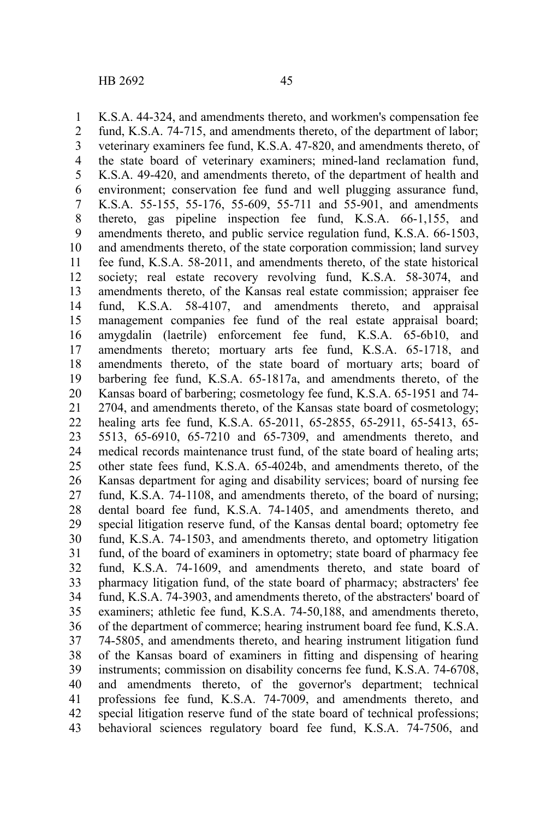K.S.A. 44-324, and amendments thereto, and workmen's compensation fee 1

fund, K.S.A. 74-715, and amendments thereto, of the department of labor; veterinary examiners fee fund, K.S.A. 47-820, and amendments thereto, of the state board of veterinary examiners; mined-land reclamation fund, K.S.A. 49-420, and amendments thereto, of the department of health and environment; conservation fee fund and well plugging assurance fund, K.S.A. 55-155, 55-176, 55-609, 55-711 and 55-901, and amendments thereto, gas pipeline inspection fee fund, K.S.A. 66-1,155, and amendments thereto, and public service regulation fund, K.S.A. 66-1503, and amendments thereto, of the state corporation commission; land survey fee fund, K.S.A. 58-2011, and amendments thereto, of the state historical society; real estate recovery revolving fund, K.S.A. 58-3074, and amendments thereto, of the Kansas real estate commission; appraiser fee fund, K.S.A. 58-4107, and amendments thereto, and appraisal management companies fee fund of the real estate appraisal board; amygdalin (laetrile) enforcement fee fund, K.S.A. 65-6b10, and amendments thereto; mortuary arts fee fund, K.S.A. 65-1718, and amendments thereto, of the state board of mortuary arts; board of barbering fee fund, K.S.A. 65-1817a, and amendments thereto, of the Kansas board of barbering; cosmetology fee fund, K.S.A. 65-1951 and 74- 2704, and amendments thereto, of the Kansas state board of cosmetology; healing arts fee fund, K.S.A. 65-2011, 65-2855, 65-2911, 65-5413, 65-5513, 65-6910, 65-7210 and 65-7309, and amendments thereto, and medical records maintenance trust fund, of the state board of healing arts; other state fees fund, K.S.A. 65-4024b, and amendments thereto, of the Kansas department for aging and disability services; board of nursing fee fund, K.S.A. 74-1108, and amendments thereto, of the board of nursing; dental board fee fund, K.S.A. 74-1405, and amendments thereto, and special litigation reserve fund, of the Kansas dental board; optometry fee fund, K.S.A. 74-1503, and amendments thereto, and optometry litigation fund, of the board of examiners in optometry; state board of pharmacy fee fund, K.S.A. 74-1609, and amendments thereto, and state board of pharmacy litigation fund, of the state board of pharmacy; abstracters' fee fund, K.S.A. 74-3903, and amendments thereto, of the abstracters' board of examiners; athletic fee fund, K.S.A. 74-50,188, and amendments thereto, of the department of commerce; hearing instrument board fee fund, K.S.A. 74-5805, and amendments thereto, and hearing instrument litigation fund of the Kansas board of examiners in fitting and dispensing of hearing instruments; commission on disability concerns fee fund, K.S.A. 74-6708, and amendments thereto, of the governor's department; technical professions fee fund, K.S.A. 74-7009, and amendments thereto, and special litigation reserve fund of the state board of technical professions; behavioral sciences regulatory board fee fund, K.S.A. 74-7506, and 2 3 4 5 6 7 8 9 10 11 12 13 14 15 16 17 18 19 20 21 22 23 24 25 26 27 28 29 30 31 32 33 34 35 36 37 38 39 40 41 42 43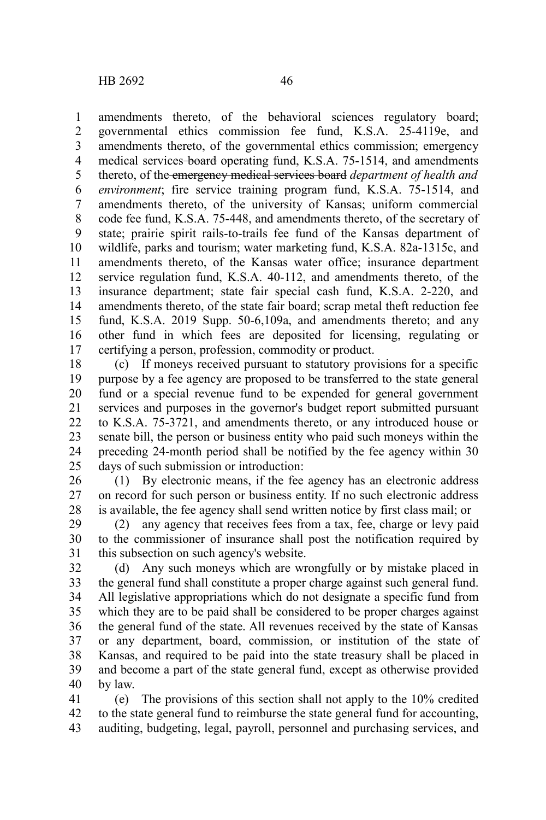amendments thereto, of the behavioral sciences regulatory board; governmental ethics commission fee fund, K.S.A. 25-4119e, and amendments thereto, of the governmental ethics commission; emergency medical services-board operating fund, K.S.A. 75-1514, and amendments thereto, of the emergency medical services board *department of health and environment*; fire service training program fund, K.S.A. 75-1514, and amendments thereto, of the university of Kansas; uniform commercial code fee fund, K.S.A. 75-448, and amendments thereto, of the secretary of state; prairie spirit rails-to-trails fee fund of the Kansas department of wildlife, parks and tourism; water marketing fund, K.S.A. 82a-1315c, and amendments thereto, of the Kansas water office; insurance department service regulation fund, K.S.A. 40-112, and amendments thereto, of the insurance department; state fair special cash fund, K.S.A. 2-220, and amendments thereto, of the state fair board; scrap metal theft reduction fee fund, K.S.A. 2019 Supp. 50-6,109a, and amendments thereto; and any other fund in which fees are deposited for licensing, regulating or certifying a person, profession, commodity or product. 1 2 3 4 5 6 7 8 9 10 11 12 13 14 15 16 17

(c) If moneys received pursuant to statutory provisions for a specific purpose by a fee agency are proposed to be transferred to the state general fund or a special revenue fund to be expended for general government services and purposes in the governor's budget report submitted pursuant to K.S.A. 75-3721, and amendments thereto, or any introduced house or senate bill, the person or business entity who paid such moneys within the preceding 24-month period shall be notified by the fee agency within 30 days of such submission or introduction: 18 19 20 21 22 23 24 25

(1) By electronic means, if the fee agency has an electronic address on record for such person or business entity. If no such electronic address is available, the fee agency shall send written notice by first class mail; or 26 27 28

(2) any agency that receives fees from a tax, fee, charge or levy paid to the commissioner of insurance shall post the notification required by this subsection on such agency's website. 29 30 31

(d) Any such moneys which are wrongfully or by mistake placed in the general fund shall constitute a proper charge against such general fund. All legislative appropriations which do not designate a specific fund from which they are to be paid shall be considered to be proper charges against the general fund of the state. All revenues received by the state of Kansas or any department, board, commission, or institution of the state of Kansas, and required to be paid into the state treasury shall be placed in and become a part of the state general fund, except as otherwise provided by law. 32 33 34 35 36 37 38 39 40

(e) The provisions of this section shall not apply to the 10% credited to the state general fund to reimburse the state general fund for accounting, auditing, budgeting, legal, payroll, personnel and purchasing services, and 41 42 43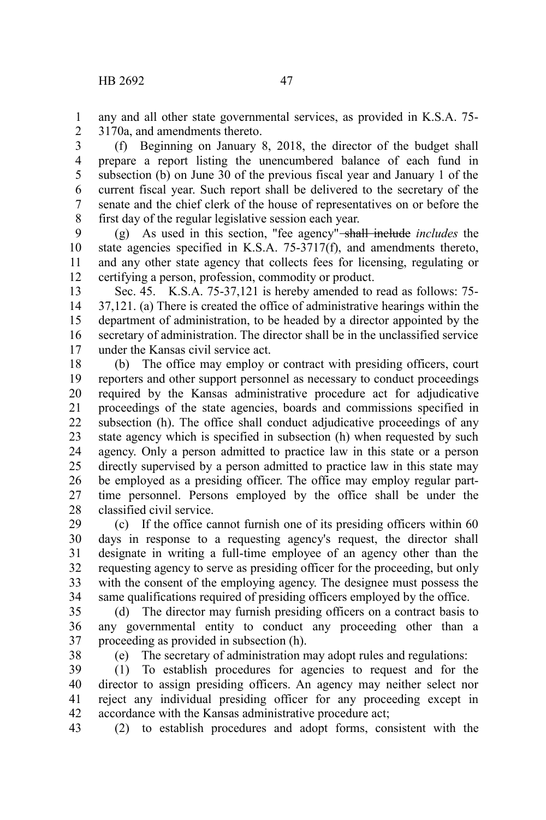(f) Beginning on January 8, 2018, the director of the budget shall prepare a report listing the unencumbered balance of each fund in subsection (b) on June 30 of the previous fiscal year and January 1 of the current fiscal year. Such report shall be delivered to the secretary of the senate and the chief clerk of the house of representatives on or before the first day of the regular legislative session each year. 3 4 5 6 7 8

(g) As used in this section, "fee agency" shall include *includes* the state agencies specified in K.S.A. 75-3717(f), and amendments thereto, and any other state agency that collects fees for licensing, regulating or certifying a person, profession, commodity or product. 9 10 11 12

Sec. 45. K.S.A. 75-37,121 is hereby amended to read as follows: 75- 37,121. (a) There is created the office of administrative hearings within the department of administration, to be headed by a director appointed by the secretary of administration. The director shall be in the unclassified service under the Kansas civil service act. 13 14 15 16 17

(b) The office may employ or contract with presiding officers, court reporters and other support personnel as necessary to conduct proceedings required by the Kansas administrative procedure act for adjudicative proceedings of the state agencies, boards and commissions specified in subsection (h). The office shall conduct adjudicative proceedings of any state agency which is specified in subsection (h) when requested by such agency. Only a person admitted to practice law in this state or a person directly supervised by a person admitted to practice law in this state may be employed as a presiding officer. The office may employ regular parttime personnel. Persons employed by the office shall be under the classified civil service. 18 19 20 21 22 23 24 25 26 27 28

(c) If the office cannot furnish one of its presiding officers within 60 days in response to a requesting agency's request, the director shall designate in writing a full-time employee of an agency other than the requesting agency to serve as presiding officer for the proceeding, but only with the consent of the employing agency. The designee must possess the same qualifications required of presiding officers employed by the office. 29 30 31 32 33 34

(d) The director may furnish presiding officers on a contract basis to any governmental entity to conduct any proceeding other than a proceeding as provided in subsection (h). 35 36 37

38

(e) The secretary of administration may adopt rules and regulations:

(1) To establish procedures for agencies to request and for the director to assign presiding officers. An agency may neither select nor reject any individual presiding officer for any proceeding except in accordance with the Kansas administrative procedure act; 39 40 41 42

(2) to establish procedures and adopt forms, consistent with the 43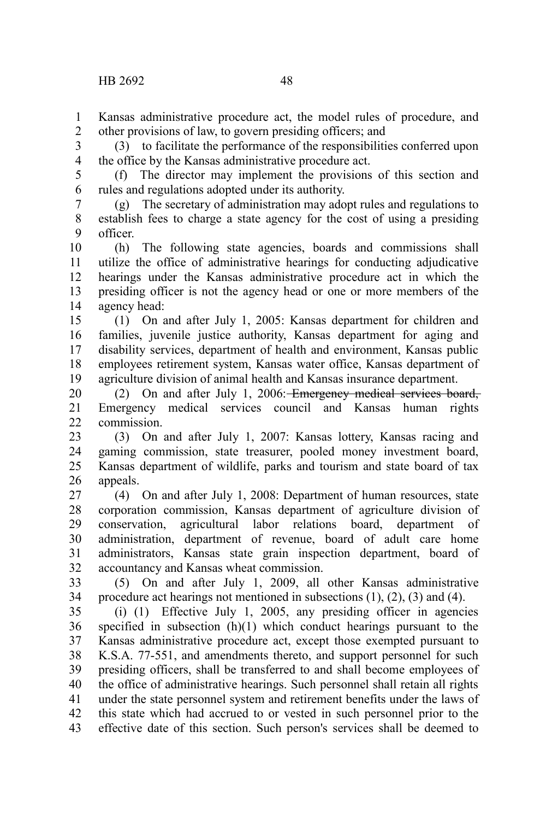Kansas administrative procedure act, the model rules of procedure, and other provisions of law, to govern presiding officers; and 1 2

(3) to facilitate the performance of the responsibilities conferred upon the office by the Kansas administrative procedure act. 3 4

(f) The director may implement the provisions of this section and rules and regulations adopted under its authority. 5 6

(g) The secretary of administration may adopt rules and regulations to establish fees to charge a state agency for the cost of using a presiding officer. 7 8 9

(h) The following state agencies, boards and commissions shall utilize the office of administrative hearings for conducting adjudicative hearings under the Kansas administrative procedure act in which the presiding officer is not the agency head or one or more members of the agency head: 10 11 12 13 14

(1) On and after July 1, 2005: Kansas department for children and families, juvenile justice authority, Kansas department for aging and disability services, department of health and environment, Kansas public employees retirement system, Kansas water office, Kansas department of agriculture division of animal health and Kansas insurance department. 15 16 17 18 19

(2) On and after July 1, 2006: Emergency medical services board, Emergency medical services council and Kansas human rights commission. 20 21 22

(3) On and after July 1, 2007: Kansas lottery, Kansas racing and gaming commission, state treasurer, pooled money investment board, Kansas department of wildlife, parks and tourism and state board of tax appeals. 23 24 25 26

(4) On and after July 1, 2008: Department of human resources, state corporation commission, Kansas department of agriculture division of conservation, agricultural labor relations board, department of administration, department of revenue, board of adult care home administrators, Kansas state grain inspection department, board of accountancy and Kansas wheat commission. 27 28 29 30 31 32

(5) On and after July 1, 2009, all other Kansas administrative procedure act hearings not mentioned in subsections (1), (2), (3) and (4). 33 34

(i) (1) Effective July 1, 2005, any presiding officer in agencies specified in subsection (h)(1) which conduct hearings pursuant to the Kansas administrative procedure act, except those exempted pursuant to K.S.A. 77-551, and amendments thereto, and support personnel for such presiding officers, shall be transferred to and shall become employees of the office of administrative hearings. Such personnel shall retain all rights under the state personnel system and retirement benefits under the laws of this state which had accrued to or vested in such personnel prior to the effective date of this section. Such person's services shall be deemed to 35 36 37 38 39 40 41 42 43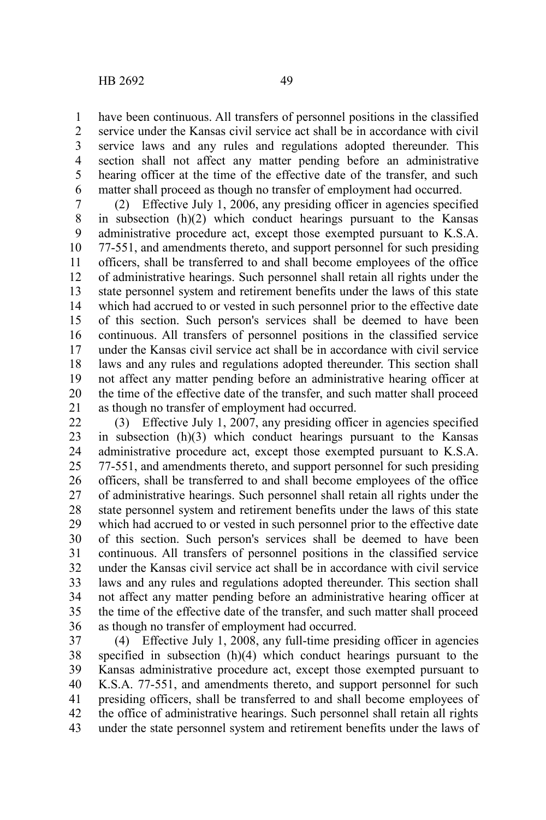have been continuous. All transfers of personnel positions in the classified service under the Kansas civil service act shall be in accordance with civil service laws and any rules and regulations adopted thereunder. This section shall not affect any matter pending before an administrative hearing officer at the time of the effective date of the transfer, and such matter shall proceed as though no transfer of employment had occurred. 1 2 3 4 5 6

(2) Effective July 1, 2006, any presiding officer in agencies specified in subsection (h)(2) which conduct hearings pursuant to the Kansas administrative procedure act, except those exempted pursuant to K.S.A. 77-551, and amendments thereto, and support personnel for such presiding officers, shall be transferred to and shall become employees of the office of administrative hearings. Such personnel shall retain all rights under the state personnel system and retirement benefits under the laws of this state which had accrued to or vested in such personnel prior to the effective date of this section. Such person's services shall be deemed to have been continuous. All transfers of personnel positions in the classified service under the Kansas civil service act shall be in accordance with civil service laws and any rules and regulations adopted thereunder. This section shall not affect any matter pending before an administrative hearing officer at the time of the effective date of the transfer, and such matter shall proceed as though no transfer of employment had occurred. 7 8 9 10 11 12 13 14 15 16 17 18 19 20 21

(3) Effective July 1, 2007, any presiding officer in agencies specified in subsection (h)(3) which conduct hearings pursuant to the Kansas administrative procedure act, except those exempted pursuant to K.S.A. 77-551, and amendments thereto, and support personnel for such presiding officers, shall be transferred to and shall become employees of the office of administrative hearings. Such personnel shall retain all rights under the state personnel system and retirement benefits under the laws of this state which had accrued to or vested in such personnel prior to the effective date of this section. Such person's services shall be deemed to have been continuous. All transfers of personnel positions in the classified service under the Kansas civil service act shall be in accordance with civil service laws and any rules and regulations adopted thereunder. This section shall not affect any matter pending before an administrative hearing officer at the time of the effective date of the transfer, and such matter shall proceed as though no transfer of employment had occurred. 22 23 24 25 26 27 28 29 30 31 32 33 34 35 36

(4) Effective July 1, 2008, any full-time presiding officer in agencies specified in subsection (h)(4) which conduct hearings pursuant to the Kansas administrative procedure act, except those exempted pursuant to K.S.A. 77-551, and amendments thereto, and support personnel for such presiding officers, shall be transferred to and shall become employees of the office of administrative hearings. Such personnel shall retain all rights under the state personnel system and retirement benefits under the laws of 37 38 39 40 41 42 43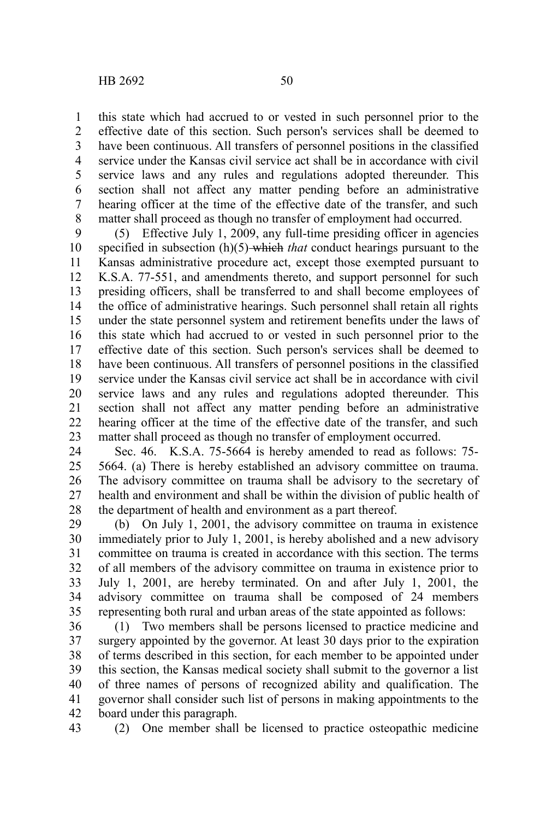this state which had accrued to or vested in such personnel prior to the effective date of this section. Such person's services shall be deemed to have been continuous. All transfers of personnel positions in the classified service under the Kansas civil service act shall be in accordance with civil service laws and any rules and regulations adopted thereunder. This section shall not affect any matter pending before an administrative hearing officer at the time of the effective date of the transfer, and such matter shall proceed as though no transfer of employment had occurred. 1 2 3 4 5 6 7 8

(5) Effective July 1, 2009, any full-time presiding officer in agencies specified in subsection (h)(5) which *that* conduct hearings pursuant to the Kansas administrative procedure act, except those exempted pursuant to K.S.A. 77-551, and amendments thereto, and support personnel for such presiding officers, shall be transferred to and shall become employees of the office of administrative hearings. Such personnel shall retain all rights under the state personnel system and retirement benefits under the laws of this state which had accrued to or vested in such personnel prior to the effective date of this section. Such person's services shall be deemed to have been continuous. All transfers of personnel positions in the classified service under the Kansas civil service act shall be in accordance with civil service laws and any rules and regulations adopted thereunder. This section shall not affect any matter pending before an administrative hearing officer at the time of the effective date of the transfer, and such matter shall proceed as though no transfer of employment occurred. 9 10 11 12 13 14 15 16 17 18 19 20 21 22 23

Sec. 46. K.S.A. 75-5664 is hereby amended to read as follows: 75- 5664. (a) There is hereby established an advisory committee on trauma. The advisory committee on trauma shall be advisory to the secretary of health and environment and shall be within the division of public health of the department of health and environment as a part thereof. 24 25 26 27 28

(b) On July 1, 2001, the advisory committee on trauma in existence immediately prior to July 1, 2001, is hereby abolished and a new advisory committee on trauma is created in accordance with this section. The terms of all members of the advisory committee on trauma in existence prior to July 1, 2001, are hereby terminated. On and after July 1, 2001, the advisory committee on trauma shall be composed of 24 members representing both rural and urban areas of the state appointed as follows: 29 30 31 32 33 34 35

(1) Two members shall be persons licensed to practice medicine and surgery appointed by the governor. At least 30 days prior to the expiration of terms described in this section, for each member to be appointed under this section, the Kansas medical society shall submit to the governor a list of three names of persons of recognized ability and qualification. The governor shall consider such list of persons in making appointments to the board under this paragraph. 36 37 38 39 40 41 42

(2) One member shall be licensed to practice osteopathic medicine 43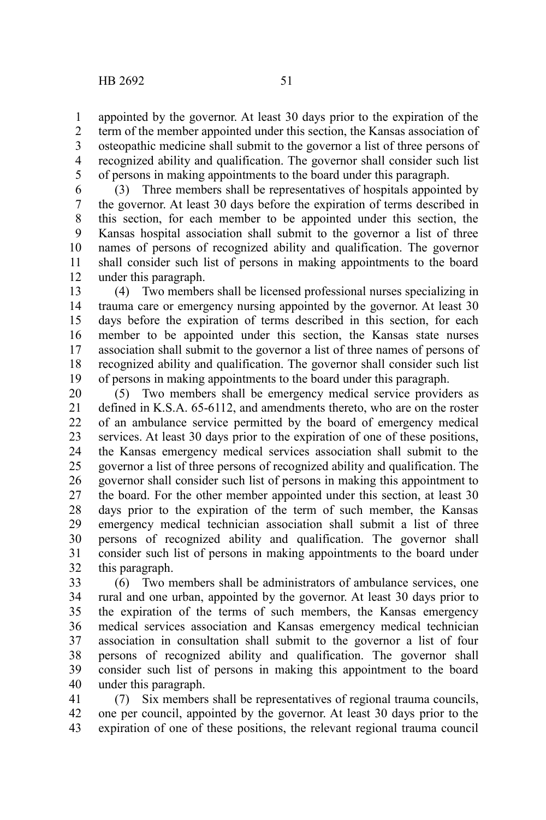appointed by the governor. At least 30 days prior to the expiration of the term of the member appointed under this section, the Kansas association of osteopathic medicine shall submit to the governor a list of three persons of recognized ability and qualification. The governor shall consider such list of persons in making appointments to the board under this paragraph. 1 2 3 4 5

(3) Three members shall be representatives of hospitals appointed by the governor. At least 30 days before the expiration of terms described in this section, for each member to be appointed under this section, the Kansas hospital association shall submit to the governor a list of three names of persons of recognized ability and qualification. The governor shall consider such list of persons in making appointments to the board under this paragraph. 6 7 8 9 10 11 12

(4) Two members shall be licensed professional nurses specializing in trauma care or emergency nursing appointed by the governor. At least 30 days before the expiration of terms described in this section, for each member to be appointed under this section, the Kansas state nurses association shall submit to the governor a list of three names of persons of recognized ability and qualification. The governor shall consider such list of persons in making appointments to the board under this paragraph. 13 14 15 16 17 18 19

(5) Two members shall be emergency medical service providers as defined in K.S.A. 65-6112, and amendments thereto, who are on the roster of an ambulance service permitted by the board of emergency medical services. At least 30 days prior to the expiration of one of these positions, the Kansas emergency medical services association shall submit to the governor a list of three persons of recognized ability and qualification. The governor shall consider such list of persons in making this appointment to the board. For the other member appointed under this section, at least 30 days prior to the expiration of the term of such member, the Kansas emergency medical technician association shall submit a list of three persons of recognized ability and qualification. The governor shall consider such list of persons in making appointments to the board under this paragraph. 20 21 22 23 24 25 26 27 28 29 30 31 32

(6) Two members shall be administrators of ambulance services, one rural and one urban, appointed by the governor. At least 30 days prior to the expiration of the terms of such members, the Kansas emergency medical services association and Kansas emergency medical technician association in consultation shall submit to the governor a list of four persons of recognized ability and qualification. The governor shall consider such list of persons in making this appointment to the board under this paragraph. 33 34 35 36 37 38 39 40

(7) Six members shall be representatives of regional trauma councils, one per council, appointed by the governor. At least 30 days prior to the expiration of one of these positions, the relevant regional trauma council 41 42 43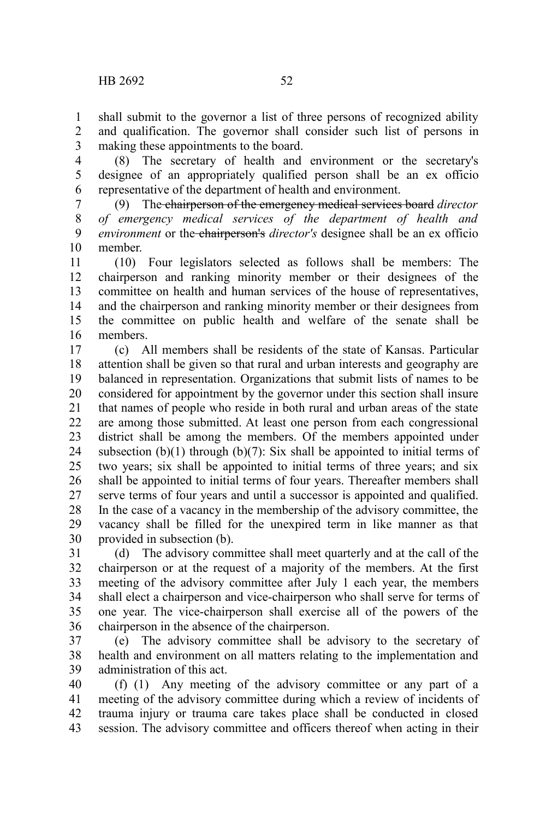shall submit to the governor a list of three persons of recognized ability and qualification. The governor shall consider such list of persons in making these appointments to the board. 1 2 3

(8) The secretary of health and environment or the secretary's designee of an appropriately qualified person shall be an ex officio representative of the department of health and environment. 4 5 6

(9) The chairperson of the emergency medical services board *director of emergency medical services of the department of health and environment* or the chairperson's *director's* designee shall be an ex officio member. 7 8 9 10

(10) Four legislators selected as follows shall be members: The chairperson and ranking minority member or their designees of the committee on health and human services of the house of representatives, and the chairperson and ranking minority member or their designees from the committee on public health and welfare of the senate shall be members. 11 12 13 14 15 16

(c) All members shall be residents of the state of Kansas. Particular attention shall be given so that rural and urban interests and geography are balanced in representation. Organizations that submit lists of names to be considered for appointment by the governor under this section shall insure that names of people who reside in both rural and urban areas of the state are among those submitted. At least one person from each congressional district shall be among the members. Of the members appointed under subsection  $(b)(1)$  through  $(b)(7)$ : Six shall be appointed to initial terms of two years; six shall be appointed to initial terms of three years; and six shall be appointed to initial terms of four years. Thereafter members shall serve terms of four years and until a successor is appointed and qualified. In the case of a vacancy in the membership of the advisory committee, the vacancy shall be filled for the unexpired term in like manner as that provided in subsection (b). 17 18 19 20 21 22 23 24 25 26 27 28 29 30

(d) The advisory committee shall meet quarterly and at the call of the chairperson or at the request of a majority of the members. At the first meeting of the advisory committee after July 1 each year, the members shall elect a chairperson and vice-chairperson who shall serve for terms of one year. The vice-chairperson shall exercise all of the powers of the chairperson in the absence of the chairperson. 31 32 33 34 35 36

(e) The advisory committee shall be advisory to the secretary of health and environment on all matters relating to the implementation and administration of this act. 37 38 39

(f) (1) Any meeting of the advisory committee or any part of a meeting of the advisory committee during which a review of incidents of trauma injury or trauma care takes place shall be conducted in closed session. The advisory committee and officers thereof when acting in their 40 41 42 43